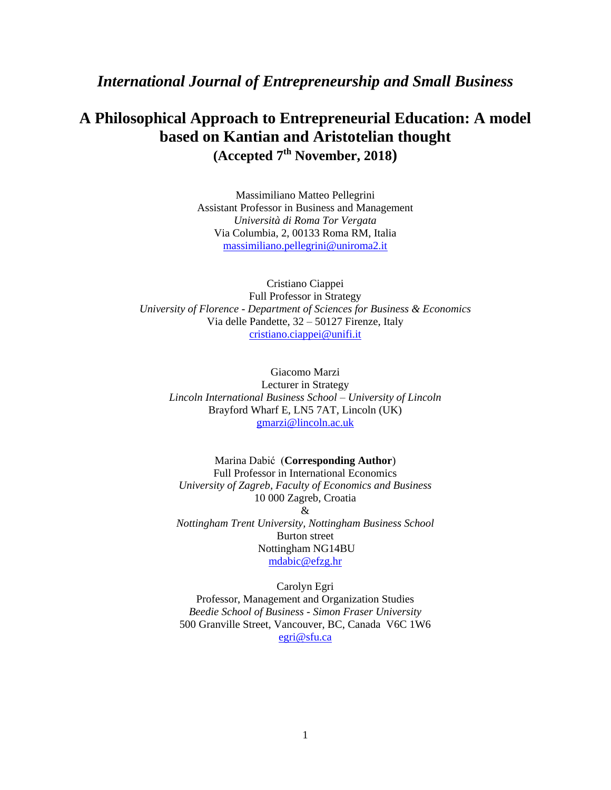# *International Journal of Entrepreneurship and Small Business*

# **A Philosophical Approach to Entrepreneurial Education: A model based on Kantian and Aristotelian thought (Accepted 7th November, 2018)**

Massimiliano Matteo Pellegrini Assistant Professor in Business and Management *Università di Roma Tor Vergata* Via Columbia, 2, 00133 Roma RM, Italia massimiliano.pellegrini@uniroma2.it

Cristiano Ciappei Full Professor in Strategy *University of Florence - Department of Sciences for Business & Economics* Via delle Pandette, 32 – 50127 Firenze, Italy [cristiano.ciappei@unifi.it](mailto:cristiano.ciappei@unifi.it)

Giacomo Marzi Lecturer in Strategy *Lincoln International Business School – University of Lincoln* Brayford Wharf E, LN5 7AT, Lincoln (UK) [gmarzi@lincoln.ac.uk](mailto:gmarzi@lincoln.ac.uk)

Marina Dabić (**Corresponding Author**) Full Professor in International Economics *University of Zagreb, Faculty of Economics and Business* 10 000 Zagreb, Croatia & *Nottingham Trent University, Nottingham Business School* Burton street Nottingham NG14BU [mdabic@efzg.hr](mailto:mdabic@efzg.hr)

Carolyn Egri Professor, Management and Organization Studies *Beedie School of Business - Simon Fraser University* 500 Granville Street, Vancouver, BC, Canada V6C 1W6 [egri@sfu.ca](mailto:egri@sfu.ca)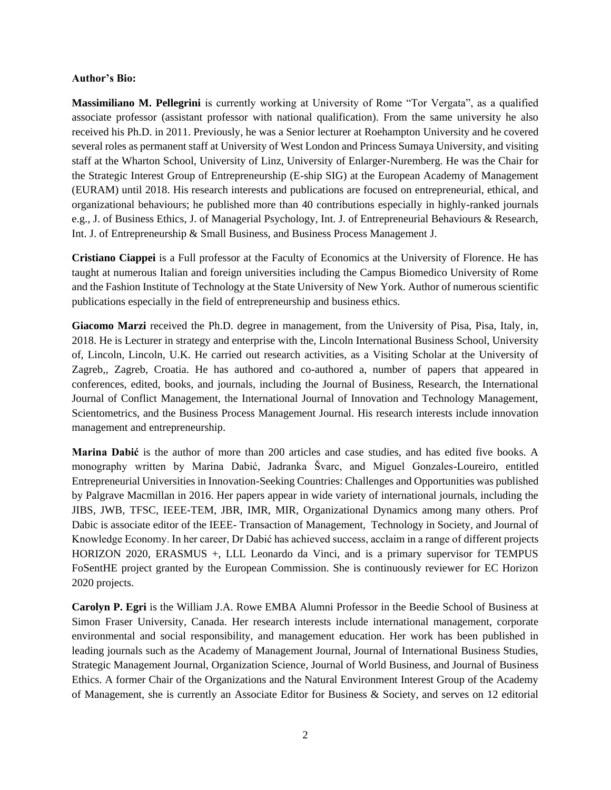## **Author's Bio:**

**Massimiliano M. Pellegrini** is currently working at University of Rome "Tor Vergata", as a qualified associate professor (assistant professor with national qualification). From the same university he also received his Ph.D. in 2011. Previously, he was a Senior lecturer at Roehampton University and he covered several roles as permanent staff at University of West London and Princess Sumaya University, and visiting staff at the Wharton School, University of Linz, University of Enlarger-Nuremberg. He was the Chair for the Strategic Interest Group of Entrepreneurship (E-ship SIG) at the European Academy of Management (EURAM) until 2018. His research interests and publications are focused on entrepreneurial, ethical, and organizational behaviours; he published more than 40 contributions especially in highly-ranked journals e.g., J. of Business Ethics, J. of Managerial Psychology, Int. J. of Entrepreneurial Behaviours & Research, Int. J. of Entrepreneurship & Small Business, and Business Process Management J.

**Cristiano Ciappei** is a Full professor at the Faculty of Economics at the University of Florence. He has taught at numerous Italian and foreign universities including the Campus Biomedico University of Rome and the Fashion Institute of Technology at the State University of New York. Author of numerous scientific publications especially in the field of entrepreneurship and business ethics.

**Giacomo Marzi** received the Ph.D. degree in management, from the University of Pisa, Pisa, Italy, in, 2018. He is Lecturer in strategy and enterprise with the, Lincoln International Business School, University of, Lincoln, Lincoln, U.K. He carried out research activities, as a Visiting Scholar at the University of Zagreb,, Zagreb, Croatia. He has authored and co-authored a, number of papers that appeared in conferences, edited, books, and journals, including the Journal of Business, Research, the International Journal of Conflict Management, the International Journal of Innovation and Technology Management, Scientometrics, and the Business Process Management Journal. His research interests include innovation management and entrepreneurship.

**Marina Dabić** is the author of more than 200 articles and case studies, and has edited five books. A monography written by Marina Dabić, Jadranka Švarc, and Miguel Gonzales-Loureiro, entitled Entrepreneurial Universities in Innovation-Seeking Countries: Challenges and Opportunities was published by Palgrave Macmillan in 2016. Her papers appear in wide variety of international journals, including the JIBS, JWB, TFSC, IEEE-TEM, JBR, IMR, MIR, Organizational Dynamics among many others. Prof Dabic is associate editor of the IEEE- Transaction of Management, Technology in Society, and Journal of Knowledge Economy. In her career, Dr Dabić has achieved success, acclaim in a range of different projects HORIZON 2020, ERASMUS +, LLL Leonardo da Vinci, and is a primary supervisor for TEMPUS FoSentHE project granted by the European Commission. She is continuously reviewer for EC Horizon 2020 projects.

**Carolyn P. Egri** is the William J.A. Rowe EMBA Alumni Professor in the Beedie School of Business at Simon Fraser University, Canada. Her research interests include international management, corporate environmental and social responsibility, and management education. Her work has been published in leading journals such as the Academy of Management Journal, Journal of International Business Studies, Strategic Management Journal, Organization Science, Journal of World Business, and Journal of Business Ethics. A former Chair of the Organizations and the Natural Environment Interest Group of the Academy of Management, she is currently an Associate Editor for Business & Society, and serves on 12 editorial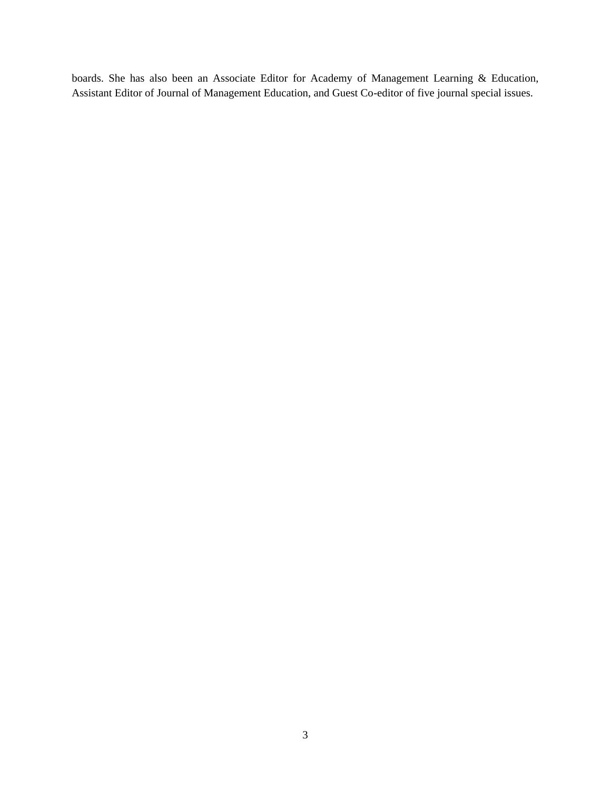boards. She has also been an Associate Editor for Academy of Management Learning & Education, Assistant Editor of Journal of Management Education, and Guest Co-editor of five journal special issues.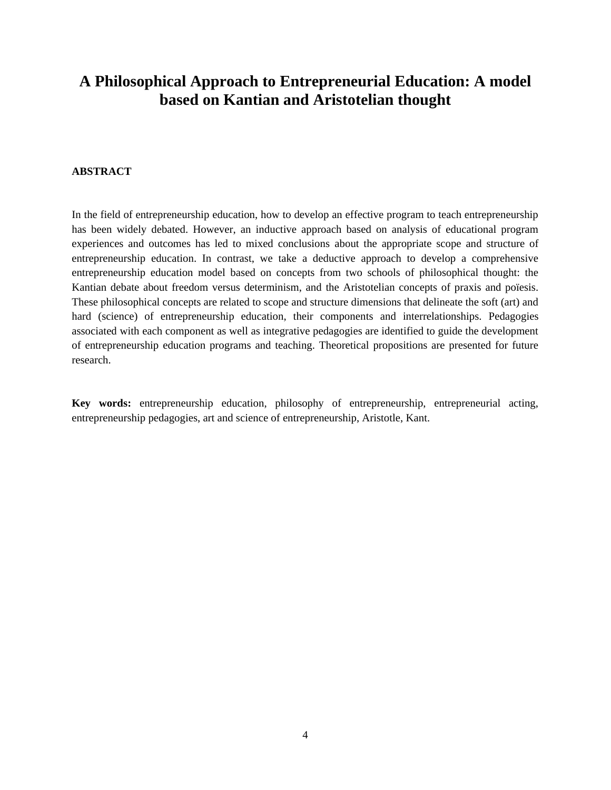# **A Philosophical Approach to Entrepreneurial Education: A model based on Kantian and Aristotelian thought**

# **ABSTRACT**

In the field of entrepreneurship education, how to develop an effective program to teach entrepreneurship has been widely debated. However, an inductive approach based on analysis of educational program experiences and outcomes has led to mixed conclusions about the appropriate scope and structure of entrepreneurship education. In contrast, we take a deductive approach to develop a comprehensive entrepreneurship education model based on concepts from two schools of philosophical thought: the Kantian debate about freedom versus determinism, and the Aristotelian concepts of praxis and poïesis. These philosophical concepts are related to scope and structure dimensions that delineate the soft (art) and hard (science) of entrepreneurship education, their components and interrelationships. Pedagogies associated with each component as well as integrative pedagogies are identified to guide the development of entrepreneurship education programs and teaching. Theoretical propositions are presented for future research.

**Key words:** entrepreneurship education, philosophy of entrepreneurship, entrepreneurial acting, entrepreneurship pedagogies, art and science of entrepreneurship, Aristotle, Kant.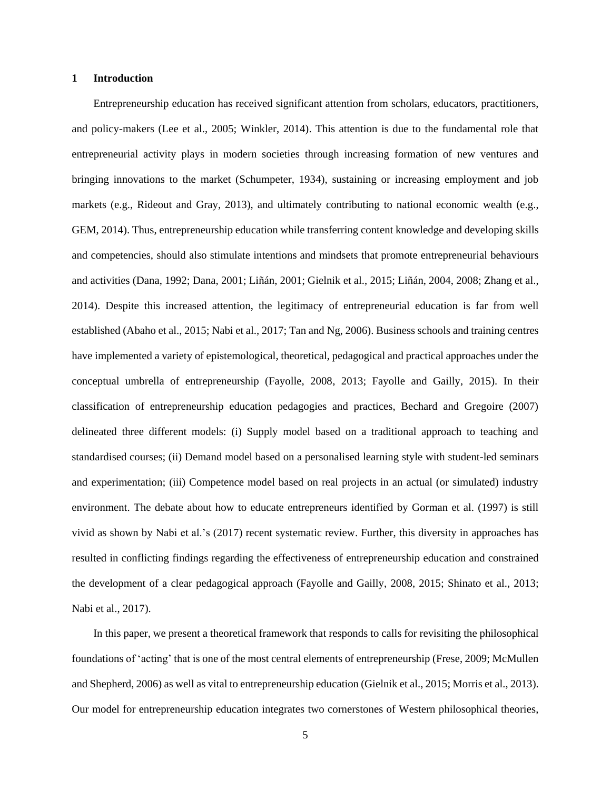#### **1 Introduction**

Entrepreneurship education has received significant attention from scholars, educators, practitioners, and policy-makers (Lee et al., 2005; Winkler, 2014). This attention is due to the fundamental role that entrepreneurial activity plays in modern societies through increasing formation of new ventures and bringing innovations to the market (Schumpeter, 1934), sustaining or increasing employment and job markets (e.g., Rideout and Gray, 2013), and ultimately contributing to national economic wealth (e.g., GEM, 2014). Thus, entrepreneurship education while transferring content knowledge and developing skills and competencies, should also stimulate intentions and mindsets that promote entrepreneurial behaviours and activities (Dana, 1992; Dana, 2001; Liñán, 2001; Gielnik et al., 2015; Liñán, 2004, 2008; Zhang et al., 2014). Despite this increased attention, the legitimacy of entrepreneurial education is far from well established (Abaho et al., 2015; Nabi et al., 2017; Tan and Ng, 2006). Business schools and training centres have implemented a variety of epistemological, theoretical, pedagogical and practical approaches under the conceptual umbrella of entrepreneurship (Fayolle, 2008, 2013; Fayolle and Gailly, 2015). In their classification of entrepreneurship education pedagogies and practices, Bechard and Gregoire (2007) delineated three different models: (i) Supply model based on a traditional approach to teaching and standardised courses; (ii) Demand model based on a personalised learning style with student-led seminars and experimentation; (iii) Competence model based on real projects in an actual (or simulated) industry environment. The debate about how to educate entrepreneurs identified by Gorman et al. (1997) is still vivid as shown by Nabi et al.'s (2017) recent systematic review. Further, this diversity in approaches has resulted in conflicting findings regarding the effectiveness of entrepreneurship education and constrained the development of a clear pedagogical approach (Fayolle and Gailly, 2008, 2015; Shinato et al., 2013; Nabi et al., 2017).

In this paper, we present a theoretical framework that responds to calls for revisiting the philosophical foundations of 'acting' that is one of the most central elements of entrepreneurship (Frese, 2009; McMullen and Shepherd, 2006) as well as vital to entrepreneurship education (Gielnik et al., 2015; Morris et al., 2013). Our model for entrepreneurship education integrates two cornerstones of Western philosophical theories,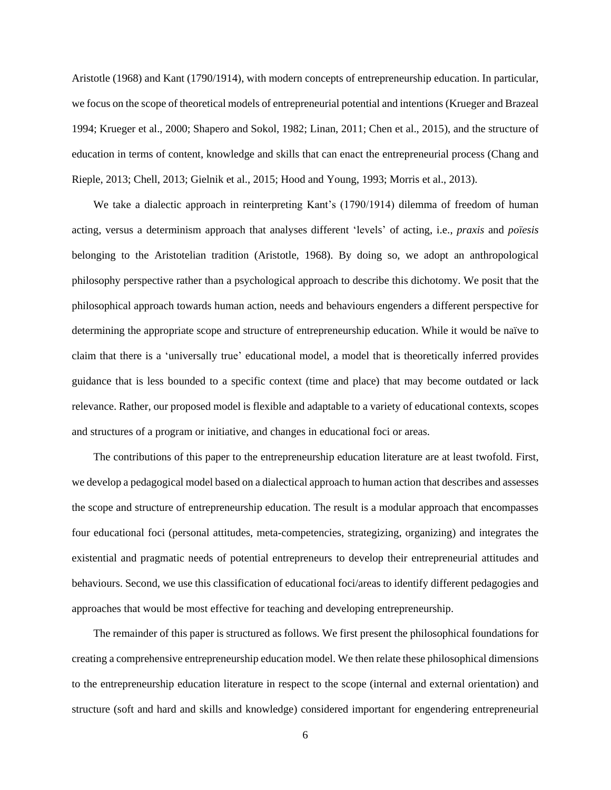Aristotle (1968) and Kant (1790/1914), with modern concepts of entrepreneurship education. In particular, we focus on the scope of theoretical models of entrepreneurial potential and intentions (Krueger and Brazeal 1994; Krueger et al., 2000; Shapero and Sokol, 1982; Linan, 2011; Chen et al., 2015), and the structure of education in terms of content, knowledge and skills that can enact the entrepreneurial process (Chang and Rieple, 2013; Chell, 2013; Gielnik et al., 2015; Hood and Young, 1993; Morris et al., 2013).

We take a dialectic approach in reinterpreting Kant's (1790/1914) dilemma of freedom of human acting, versus a determinism approach that analyses different 'levels' of acting, i.e., *praxis* and *poïesis* belonging to the Aristotelian tradition (Aristotle, 1968). By doing so, we adopt an anthropological philosophy perspective rather than a psychological approach to describe this dichotomy. We posit that the philosophical approach towards human action, needs and behaviours engenders a different perspective for determining the appropriate scope and structure of entrepreneurship education. While it would be naïve to claim that there is a 'universally true' educational model, a model that is theoretically inferred provides guidance that is less bounded to a specific context (time and place) that may become outdated or lack relevance. Rather, our proposed model is flexible and adaptable to a variety of educational contexts, scopes and structures of a program or initiative, and changes in educational foci or areas.

The contributions of this paper to the entrepreneurship education literature are at least twofold. First, we develop a pedagogical model based on a dialectical approach to human action that describes and assesses the scope and structure of entrepreneurship education. The result is a modular approach that encompasses four educational foci (personal attitudes, meta-competencies, strategizing, organizing) and integrates the existential and pragmatic needs of potential entrepreneurs to develop their entrepreneurial attitudes and behaviours. Second, we use this classification of educational foci/areas to identify different pedagogies and approaches that would be most effective for teaching and developing entrepreneurship.

The remainder of this paper is structured as follows. We first present the philosophical foundations for creating a comprehensive entrepreneurship education model. We then relate these philosophical dimensions to the entrepreneurship education literature in respect to the scope (internal and external orientation) and structure (soft and hard and skills and knowledge) considered important for engendering entrepreneurial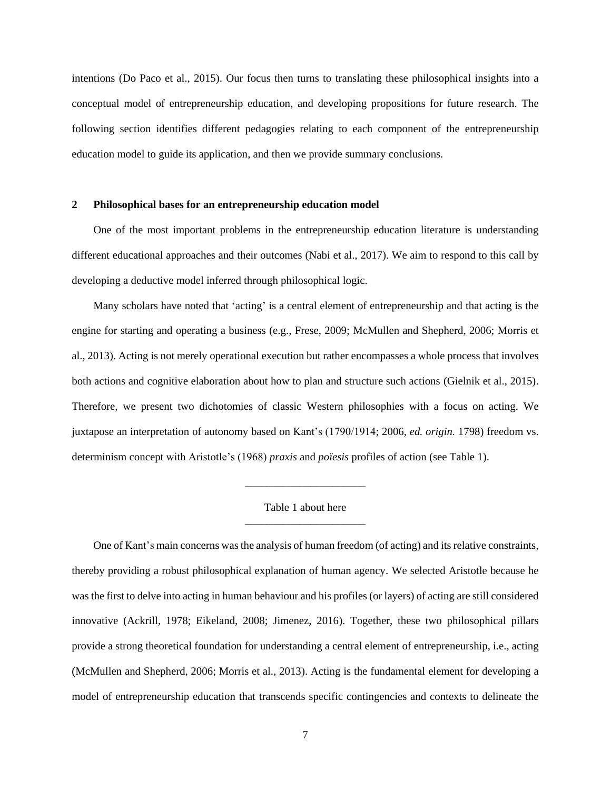intentions (Do Paco et al., 2015). Our focus then turns to translating these philosophical insights into a conceptual model of entrepreneurship education, and developing propositions for future research. The following section identifies different pedagogies relating to each component of the entrepreneurship education model to guide its application, and then we provide summary conclusions.

#### **2 Philosophical bases for an entrepreneurship education model**

One of the most important problems in the entrepreneurship education literature is understanding different educational approaches and their outcomes (Nabi et al., 2017). We aim to respond to this call by developing a deductive model inferred through philosophical logic.

Many scholars have noted that 'acting' is a central element of entrepreneurship and that acting is the engine for starting and operating a business (e.g., Frese, 2009; McMullen and Shepherd, 2006; Morris et al., 2013). Acting is not merely operational execution but rather encompasses a whole process that involves both actions and cognitive elaboration about how to plan and structure such actions (Gielnik et al., 2015). Therefore, we present two dichotomies of classic Western philosophies with a focus on acting. We juxtapose an interpretation of autonomy based on Kant's (1790/1914; 2006, *ed. origin.* 1798) freedom vs. determinism concept with Aristotle's (1968) *praxis* and *poïesis* profiles of action (see Table 1).

# Table 1 about here \_\_\_\_\_\_\_\_\_\_\_\_\_\_\_\_\_\_\_\_\_\_

\_\_\_\_\_\_\_\_\_\_\_\_\_\_\_\_\_\_\_\_\_\_

One of Kant's main concerns was the analysis of human freedom (of acting) and its relative constraints, thereby providing a robust philosophical explanation of human agency. We selected Aristotle because he was the first to delve into acting in human behaviour and his profiles (or layers) of acting are still considered innovative (Ackrill, 1978; Eikeland, 2008; Jimenez, 2016). Together, these two philosophical pillars provide a strong theoretical foundation for understanding a central element of entrepreneurship, i.e., acting (McMullen and Shepherd, 2006; Morris et al., 2013). Acting is the fundamental element for developing a model of entrepreneurship education that transcends specific contingencies and contexts to delineate the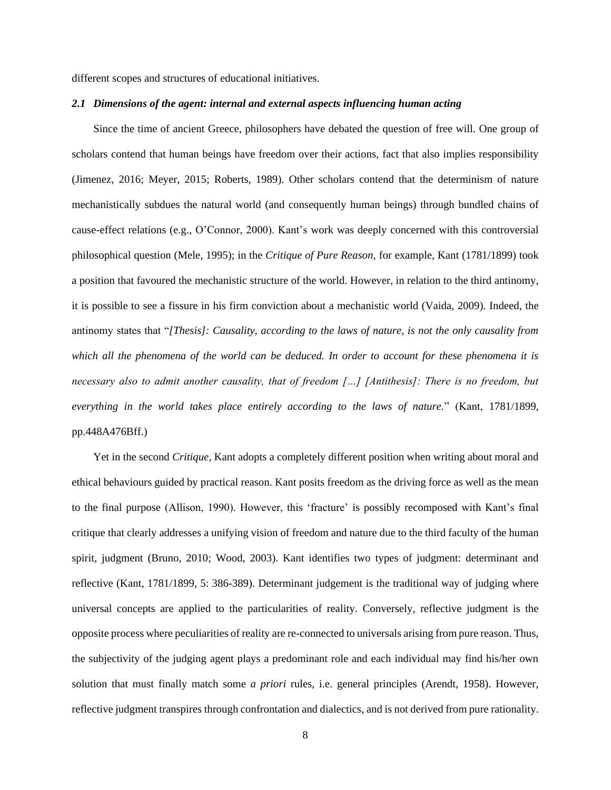different scopes and structures of educational initiatives.

#### *2.1 Dimensions of the agent: internal and external aspects influencing human acting*

Since the time of ancient Greece, philosophers have debated the question of free will. One group of scholars contend that human beings have freedom over their actions, fact that also implies responsibility (Jimenez, 2016; Meyer, 2015; Roberts, 1989). Other scholars contend that the determinism of nature mechanistically subdues the natural world (and consequently human beings) through bundled chains of cause-effect relations (e.g., O'Connor, 2000). Kant's work was deeply concerned with this controversial philosophical question (Mele, 1995); in the *Critique of Pure Reason*, for example, Kant (1781/1899) took a position that favoured the mechanistic structure of the world. However, in relation to the third antinomy, it is possible to see a fissure in his firm conviction about a mechanistic world (Vaida, 2009). Indeed, the antinomy states that "*[Thesis]: Causality, according to the laws of nature, is not the only causality from which all the phenomena of the world can be deduced. In order to account for these phenomena it is necessary also to admit another causality, that of freedom […] [Antithesis]: There is no freedom, but everything in the world takes place entirely according to the laws of nature.*" (Kant, 1781/1899, pp.448A476Bff.)

Yet in the second *Critique,* Kant adopts a completely different position when writing about moral and ethical behaviours guided by practical reason. Kant posits freedom as the driving force as well as the mean to the final purpose (Allison, 1990). However, this 'fracture' is possibly recomposed with Kant's final critique that clearly addresses a unifying vision of freedom and nature due to the third faculty of the human spirit, judgment (Bruno, 2010; Wood, 2003). Kant identifies two types of judgment: determinant and reflective (Kant, 1781/1899, 5: 386-389). Determinant judgement is the traditional way of judging where universal concepts are applied to the particularities of reality. Conversely, reflective judgment is the opposite process where peculiarities of reality are re-connected to universals arising from pure reason. Thus, the subjectivity of the judging agent plays a predominant role and each individual may find his/her own solution that must finally match some *a priori* rules, i.e. general principles (Arendt, 1958). However, reflective judgment transpires through confrontation and dialectics, and is not derived from pure rationality.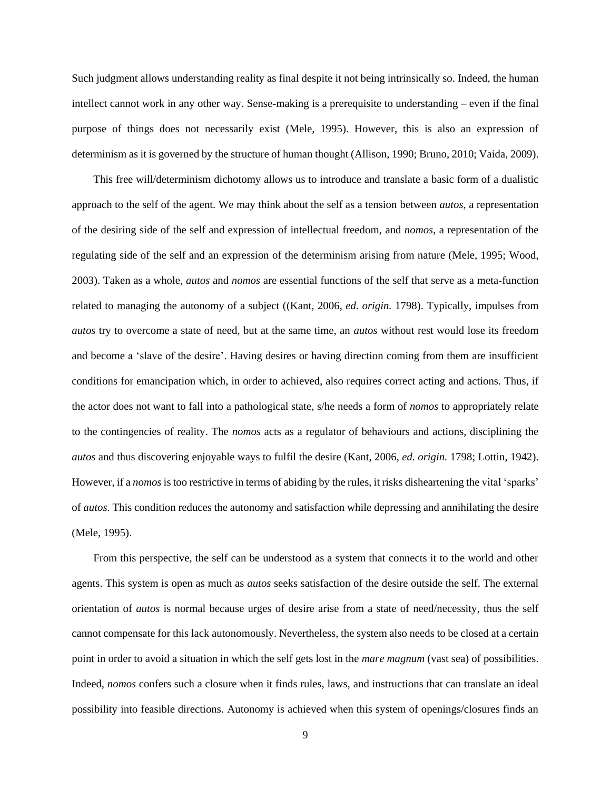Such judgment allows understanding reality as final despite it not being intrinsically so. Indeed, the human intellect cannot work in any other way. Sense-making is a prerequisite to understanding – even if the final purpose of things does not necessarily exist (Mele, 1995). However, this is also an expression of determinism as it is governed by the structure of human thought (Allison, 1990; Bruno, 2010; Vaida, 2009).

This free will/determinism dichotomy allows us to introduce and translate a basic form of a dualistic approach to the self of the agent. We may think about the self as a tension between *autos*, a representation of the desiring side of the self and expression of intellectual freedom, and *nomos*, a representation of the regulating side of the self and an expression of the determinism arising from nature (Mele, 1995; Wood, 2003). Taken as a whole, *autos* and *nomos* are essential functions of the self that serve as a meta-function related to managing the autonomy of a subject ((Kant, 2006, *ed. origin.* 1798). Typically, impulses from *autos* try to overcome a state of need, but at the same time, an *autos* without rest would lose its freedom and become a 'slave of the desire'. Having desires or having direction coming from them are insufficient conditions for emancipation which, in order to achieved, also requires correct acting and actions. Thus, if the actor does not want to fall into a pathological state, s/he needs a form of *nomos* to appropriately relate to the contingencies of reality. The *nomos* acts as a regulator of behaviours and actions, disciplining the *autos* and thus discovering enjoyable ways to fulfil the desire (Kant, 2006, *ed. origin.* 1798; Lottin, 1942). However, if a *nomos* is too restrictive in terms of abiding by the rules, it risks disheartening the vital 'sparks' of *autos*. This condition reduces the autonomy and satisfaction while depressing and annihilating the desire (Mele, 1995).

From this perspective, the self can be understood as a system that connects it to the world and other agents. This system is open as much as *autos* seeks satisfaction of the desire outside the self. The external orientation of *autos* is normal because urges of desire arise from a state of need/necessity, thus the self cannot compensate for this lack autonomously. Nevertheless, the system also needs to be closed at a certain point in order to avoid a situation in which the self gets lost in the *mare magnum* (vast sea) of possibilities. Indeed, *nomos* confers such a closure when it finds rules, laws, and instructions that can translate an ideal possibility into feasible directions. Autonomy is achieved when this system of openings/closures finds an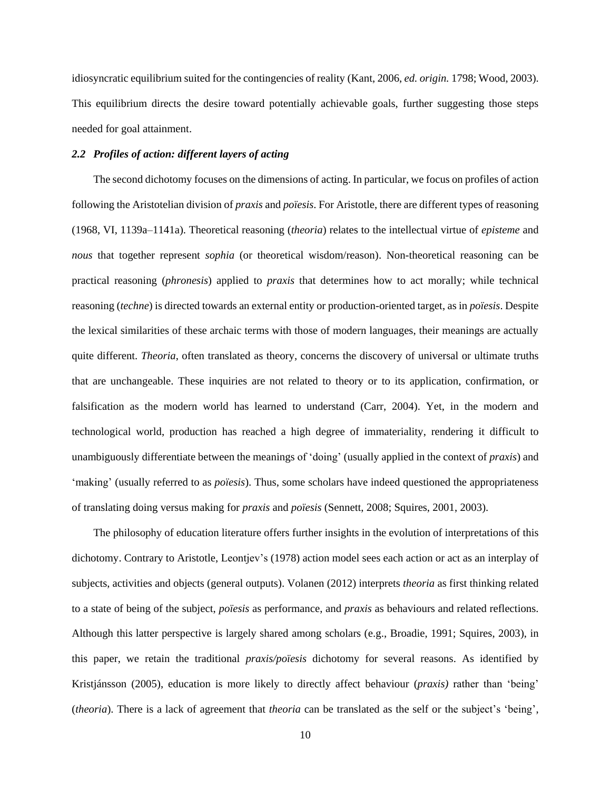idiosyncratic equilibrium suited for the contingencies of reality (Kant, 2006, *ed. origin.* 1798; Wood, 2003). This equilibrium directs the desire toward potentially achievable goals, further suggesting those steps needed for goal attainment.

# *2.2 Profiles of action: different layers of acting*

The second dichotomy focuses on the dimensions of acting. In particular, we focus on profiles of action following the Aristotelian division of *praxis* and *poïesis*. For Aristotle, there are different types of reasoning (1968, VI, 1139a–1141a). Theoretical reasoning (*theoria*) relates to the intellectual virtue of *episteme* and *nous* that together represent *sophia* (or theoretical wisdom/reason). Non-theoretical reasoning can be practical reasoning (*phronesis*) applied to *praxis* that determines how to act morally; while technical reasoning (*techne*) is directed towards an external entity or production-oriented target, as in *poïesis*. Despite the lexical similarities of these archaic terms with those of modern languages, their meanings are actually quite different. *Theoria*, often translated as theory, concerns the discovery of universal or ultimate truths that are unchangeable. These inquiries are not related to theory or to its application, confirmation, or falsification as the modern world has learned to understand (Carr, 2004). Yet, in the modern and technological world, production has reached a high degree of immateriality, rendering it difficult to unambiguously differentiate between the meanings of 'doing' (usually applied in the context of *praxis*) and 'making' (usually referred to as *poïesis*). Thus, some scholars have indeed questioned the appropriateness of translating doing versus making for *praxis* and *poïesis* (Sennett, 2008; Squires, 2001, 2003).

The philosophy of education literature offers further insights in the evolution of interpretations of this dichotomy. Contrary to Aristotle, Leontjev's (1978) action model sees each action or act as an interplay of subjects, activities and objects (general outputs). Volanen (2012) interprets *theoria* as first thinking related to a state of being of the subject, *poïesis* as performance, and *praxis* as behaviours and related reflections. Although this latter perspective is largely shared among scholars (e.g., Broadie, 1991; Squires, 2003), in this paper, we retain the traditional *praxis/poïesis* dichotomy for several reasons. As identified by Kristjánsson (2005), education is more likely to directly affect behaviour (*praxis)* rather than 'being' (*theoria*). There is a lack of agreement that *theoria* can be translated as the self or the subject's 'being',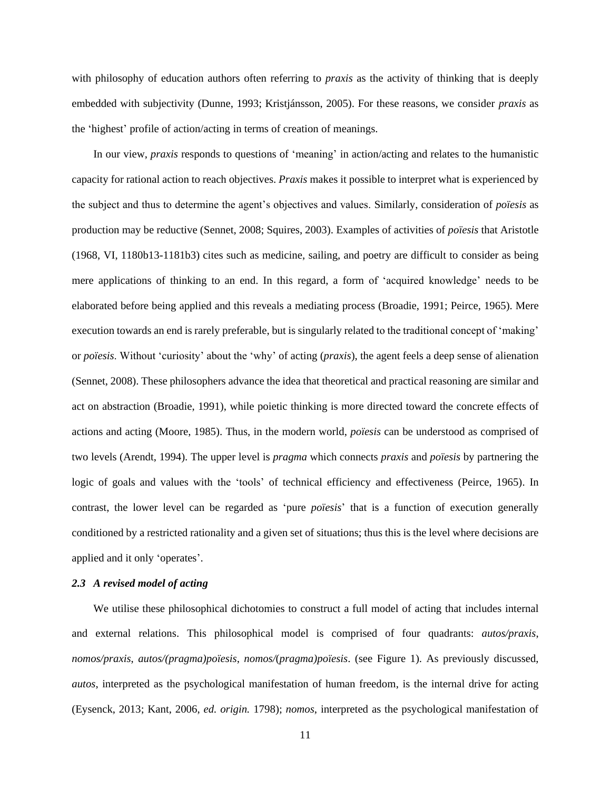with philosophy of education authors often referring to *praxis* as the activity of thinking that is deeply embedded with subjectivity (Dunne, 1993; Kristjánsson, 2005). For these reasons, we consider *praxis* as the 'highest' profile of action/acting in terms of creation of meanings.

In our view, *praxis* responds to questions of 'meaning' in action/acting and relates to the humanistic capacity for rational action to reach objectives. *Praxis* makes it possible to interpret what is experienced by the subject and thus to determine the agent's objectives and values. Similarly, consideration of *poïesis* as production may be reductive (Sennet, 2008; Squires, 2003). Examples of activities of *poïesis* that Aristotle (1968, VI, 1180b13-1181b3) cites such as medicine, sailing, and poetry are difficult to consider as being mere applications of thinking to an end. In this regard, a form of 'acquired knowledge' needs to be elaborated before being applied and this reveals a mediating process (Broadie, 1991; Peirce, 1965). Mere execution towards an end is rarely preferable, but is singularly related to the traditional concept of 'making' or *poïesis*. Without 'curiosity' about the 'why' of acting (*praxis*), the agent feels a deep sense of alienation (Sennet, 2008). These philosophers advance the idea that theoretical and practical reasoning are similar and act on abstraction (Broadie, 1991), while poietic thinking is more directed toward the concrete effects of actions and acting (Moore, 1985). Thus, in the modern world, *poïesis* can be understood as comprised of two levels (Arendt, 1994). The upper level is *pragma* which connects *praxis* and *poïesis* by partnering the logic of goals and values with the 'tools' of technical efficiency and effectiveness (Peirce, 1965). In contrast, the lower level can be regarded as 'pure *poïesis*' that is a function of execution generally conditioned by a restricted rationality and a given set of situations; thus this is the level where decisions are applied and it only 'operates'.

## *2.3 A revised model of acting*

We utilise these philosophical dichotomies to construct a full model of acting that includes internal and external relations. This philosophical model is comprised of four quadrants: *autos/praxis*, *nomos/praxis*, *autos/(pragma)poïesis*, *nomos/*(*pragma)poïesis*. (see Figure 1). As previously discussed, *autos*, interpreted as the psychological manifestation of human freedom, is the internal drive for acting (Eysenck, 2013; Kant, 2006, *ed. origin.* 1798); *nomos*, interpreted as the psychological manifestation of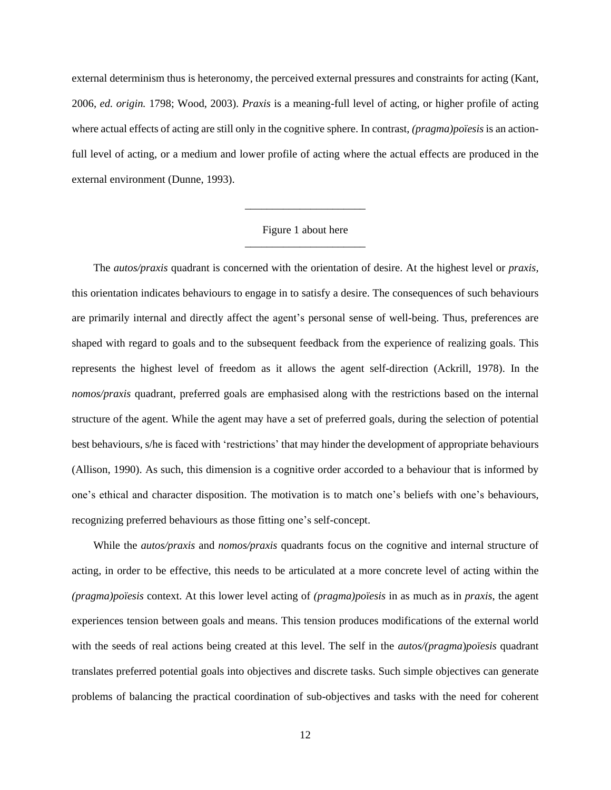external determinism thus is heteronomy, the perceived external pressures and constraints for acting (Kant, 2006, *ed. origin.* 1798; Wood, 2003). *Praxis* is a meaning-full level of acting, or higher profile of acting where actual effects of acting are still only in the cognitive sphere. In contrast, *(pragma)poïesis* is an actionfull level of acting, or a medium and lower profile of acting where the actual effects are produced in the external environment (Dunne, 1993).

# Figure 1 about here \_\_\_\_\_\_\_\_\_\_\_\_\_\_\_\_\_\_\_\_\_\_

\_\_\_\_\_\_\_\_\_\_\_\_\_\_\_\_\_\_\_\_\_\_

The *autos/praxis* quadrant is concerned with the orientation of desire. At the highest level or *praxis,*  this orientation indicates behaviours to engage in to satisfy a desire. The consequences of such behaviours are primarily internal and directly affect the agent's personal sense of well-being. Thus, preferences are shaped with regard to goals and to the subsequent feedback from the experience of realizing goals. This represents the highest level of freedom as it allows the agent self-direction (Ackrill, 1978). In the *nomos/praxis* quadrant, preferred goals are emphasised along with the restrictions based on the internal structure of the agent. While the agent may have a set of preferred goals, during the selection of potential best behaviours, s/he is faced with 'restrictions' that may hinder the development of appropriate behaviours (Allison, 1990). As such, this dimension is a cognitive order accorded to a behaviour that is informed by one's ethical and character disposition. The motivation is to match one's beliefs with one's behaviours, recognizing preferred behaviours as those fitting one's self-concept.

While the *autos/praxis* and *nomos/praxis* quadrants focus on the cognitive and internal structure of acting, in order to be effective, this needs to be articulated at a more concrete level of acting within the *(pragma)poïesis* context. At this lower level acting of *(pragma)poïesis* in as much as in *praxis*, the agent experiences tension between goals and means. This tension produces modifications of the external world with the seeds of real actions being created at this level. The self in the *autos/(pragma*)*poïesis* quadrant translates preferred potential goals into objectives and discrete tasks. Such simple objectives can generate problems of balancing the practical coordination of sub-objectives and tasks with the need for coherent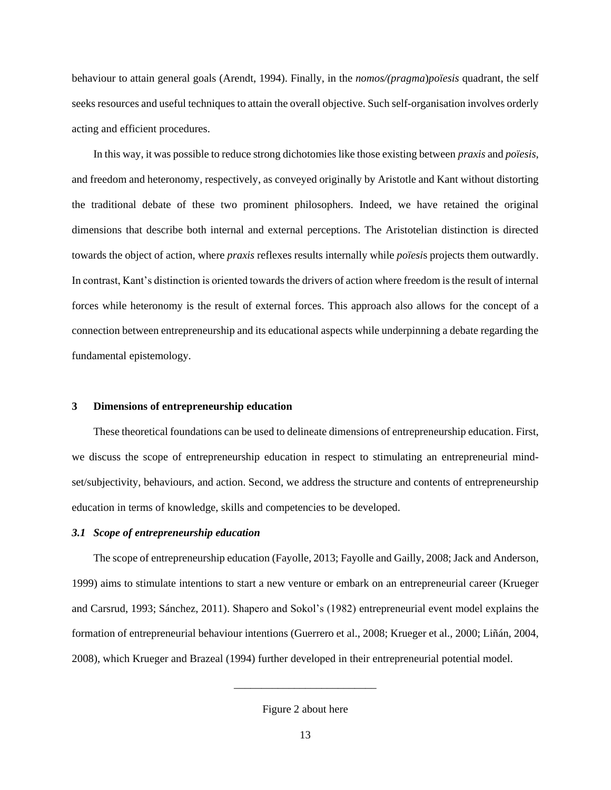behaviour to attain general goals (Arendt, 1994). Finally, in the *nomos/(pragma*)*poïesis* quadrant, the self seeks resources and useful techniques to attain the overall objective. Such self-organisation involves orderly acting and efficient procedures.

In this way, it was possible to reduce strong dichotomies like those existing between *praxis* and *poïesis*, and freedom and heteronomy, respectively, as conveyed originally by Aristotle and Kant without distorting the traditional debate of these two prominent philosophers. Indeed, we have retained the original dimensions that describe both internal and external perceptions. The Aristotelian distinction is directed towards the object of action, where *praxis* reflexes results internally while *poïesi*s projects them outwardly. In contrast, Kant's distinction is oriented towards the drivers of action where freedom is the result of internal forces while heteronomy is the result of external forces. This approach also allows for the concept of a connection between entrepreneurship and its educational aspects while underpinning a debate regarding the fundamental epistemology.

#### **3 Dimensions of entrepreneurship education**

These theoretical foundations can be used to delineate dimensions of entrepreneurship education. First, we discuss the scope of entrepreneurship education in respect to stimulating an entrepreneurial mindset/subjectivity, behaviours, and action. Second, we address the structure and contents of entrepreneurship education in terms of knowledge, skills and competencies to be developed.

# *3.1 Scope of entrepreneurship education*

The scope of entrepreneurship education (Fayolle, 2013; Fayolle and Gailly, 2008; Jack and Anderson, 1999) aims to stimulate intentions to start a new venture or embark on an entrepreneurial career (Krueger and Carsrud, 1993; Sánchez, 2011). Shapero and Sokol's (1982) entrepreneurial event model explains the formation of entrepreneurial behaviour intentions (Guerrero et al., 2008; Krueger et al., 2000; Liñán, 2004, 2008), which Krueger and Brazeal (1994) further developed in their entrepreneurial potential model.

\_\_\_\_\_\_\_\_\_\_\_\_\_\_\_\_\_\_\_\_\_\_\_\_\_\_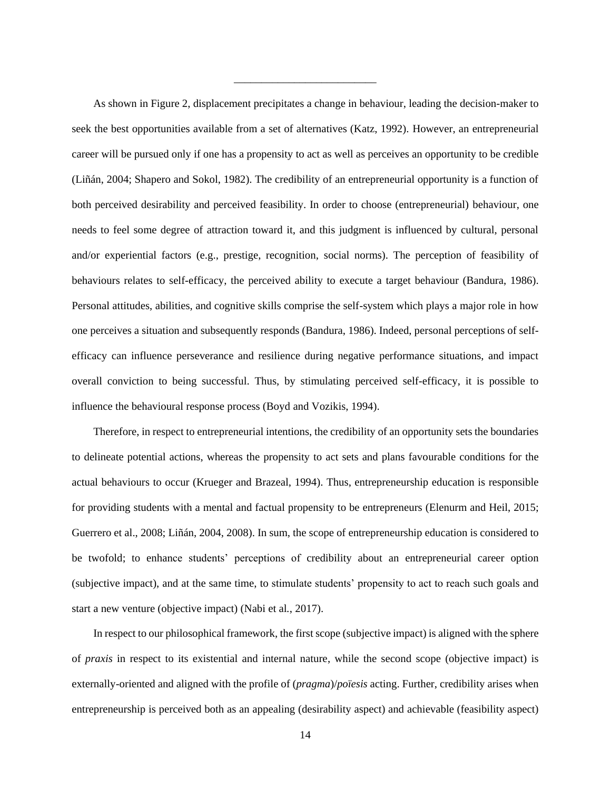As shown in Figure 2, displacement precipitates a change in behaviour, leading the decision-maker to seek the best opportunities available from a set of alternatives (Katz, 1992). However, an entrepreneurial career will be pursued only if one has a propensity to act as well as perceives an opportunity to be credible (Liñán, 2004; Shapero and Sokol, 1982). The credibility of an entrepreneurial opportunity is a function of both perceived desirability and perceived feasibility. In order to choose (entrepreneurial) behaviour, one needs to feel some degree of attraction toward it, and this judgment is influenced by cultural, personal and/or experiential factors (e.g., prestige, recognition, social norms). The perception of feasibility of behaviours relates to self-efficacy, the perceived ability to execute a target behaviour (Bandura, 1986). Personal attitudes, abilities, and cognitive skills comprise the self-system which plays a major role in how one perceives a situation and subsequently responds (Bandura, 1986). Indeed, personal perceptions of selfefficacy can influence perseverance and resilience during negative performance situations, and impact overall conviction to being successful. Thus, by stimulating perceived self-efficacy, it is possible to influence the behavioural response process (Boyd and Vozikis, 1994).

\_\_\_\_\_\_\_\_\_\_\_\_\_\_\_\_\_\_\_\_\_\_\_\_\_\_

Therefore, in respect to entrepreneurial intentions, the credibility of an opportunity sets the boundaries to delineate potential actions, whereas the propensity to act sets and plans favourable conditions for the actual behaviours to occur (Krueger and Brazeal, 1994). Thus, entrepreneurship education is responsible for providing students with a mental and factual propensity to be entrepreneurs (Elenurm and Heil, 2015; Guerrero et al., 2008; Liñán, 2004, 2008). In sum, the scope of entrepreneurship education is considered to be twofold; to enhance students' perceptions of credibility about an entrepreneurial career option (subjective impact), and at the same time, to stimulate students' propensity to act to reach such goals and start a new venture (objective impact) (Nabi et al*.*, 2017).

In respect to our philosophical framework, the first scope (subjective impact) is aligned with the sphere of *praxis* in respect to its existential and internal nature, while the second scope (objective impact) is externally-oriented and aligned with the profile of (*pragma*)/*poïesis* acting. Further, credibility arises when entrepreneurship is perceived both as an appealing (desirability aspect) and achievable (feasibility aspect)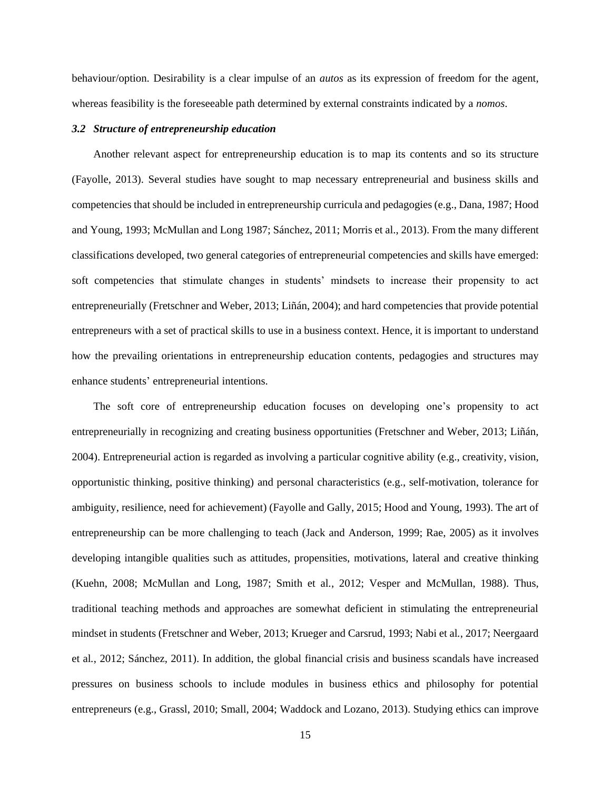behaviour/option. Desirability is a clear impulse of an *autos* as its expression of freedom for the agent, whereas feasibility is the foreseeable path determined by external constraints indicated by a *nomos*.

#### *3.2 Structure of entrepreneurship education*

Another relevant aspect for entrepreneurship education is to map its contents and so its structure (Fayolle, 2013). Several studies have sought to map necessary entrepreneurial and business skills and competencies that should be included in entrepreneurship curricula and pedagogies (e.g., Dana, 1987; Hood and Young, 1993; McMullan and Long 1987; Sánchez, 2011; Morris et al., 2013). From the many different classifications developed, two general categories of entrepreneurial competencies and skills have emerged: soft competencies that stimulate changes in students' mindsets to increase their propensity to act entrepreneurially (Fretschner and Weber, 2013; Liñán, 2004); and hard competencies that provide potential entrepreneurs with a set of practical skills to use in a business context. Hence, it is important to understand how the prevailing orientations in entrepreneurship education contents, pedagogies and structures may enhance students' entrepreneurial intentions.

The soft core of entrepreneurship education focuses on developing one's propensity to act entrepreneurially in recognizing and creating business opportunities (Fretschner and Weber, 2013; Liñán, 2004). Entrepreneurial action is regarded as involving a particular cognitive ability (e.g., creativity, vision, opportunistic thinking, positive thinking) and personal characteristics (e.g., self-motivation, tolerance for ambiguity, resilience, need for achievement) (Fayolle and Gally, 2015; Hood and Young, 1993). The art of entrepreneurship can be more challenging to teach (Jack and Anderson, 1999; Rae, 2005) as it involves developing intangible qualities such as attitudes, propensities, motivations, lateral and creative thinking (Kuehn, 2008; McMullan and Long, 1987; Smith et al*.*, 2012; Vesper and McMullan, 1988). Thus, traditional teaching methods and approaches are somewhat deficient in stimulating the entrepreneurial mindset in students (Fretschner and Weber, 2013; Krueger and Carsrud, 1993; Nabi et al*.*, 2017; Neergaard et al*.*, 2012; Sánchez, 2011). In addition, the global financial crisis and business scandals have increased pressures on business schools to include modules in business ethics and philosophy for potential entrepreneurs (e.g., Grassl, 2010; Small, 2004; Waddock and Lozano, 2013). Studying ethics can improve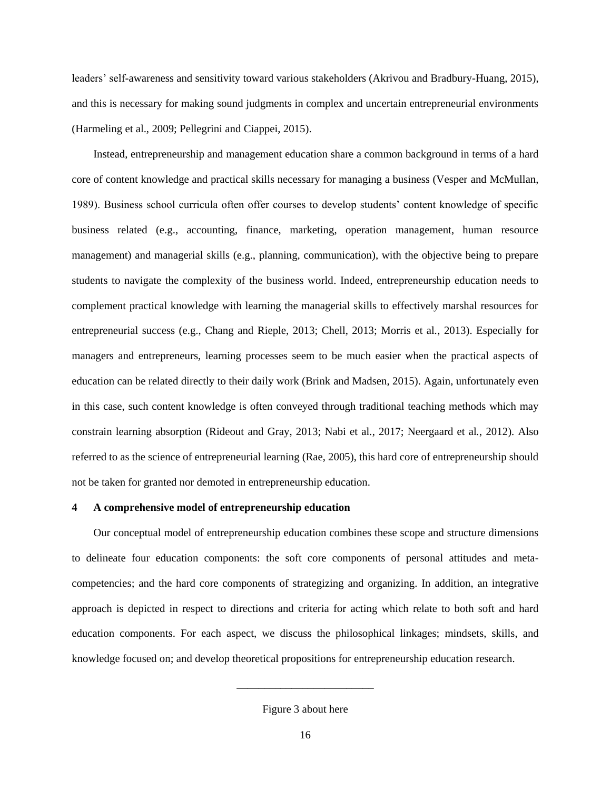leaders' self-awareness and sensitivity toward various stakeholders (Akrivou and Bradbury-Huang, 2015), and this is necessary for making sound judgments in complex and uncertain entrepreneurial environments (Harmeling et al., 2009; Pellegrini and Ciappei, 2015).

Instead, entrepreneurship and management education share a common background in terms of a hard core of content knowledge and practical skills necessary for managing a business (Vesper and McMullan, 1989). Business school curricula often offer courses to develop students' content knowledge of specific business related (e.g., accounting, finance, marketing, operation management, human resource management) and managerial skills (e.g., planning, communication), with the objective being to prepare students to navigate the complexity of the business world. Indeed, entrepreneurship education needs to complement practical knowledge with learning the managerial skills to effectively marshal resources for entrepreneurial success (e.g., Chang and Rieple, 2013; Chell, 2013; Morris et al*.*, 2013). Especially for managers and entrepreneurs, learning processes seem to be much easier when the practical aspects of education can be related directly to their daily work (Brink and Madsen, 2015). Again, unfortunately even in this case, such content knowledge is often conveyed through traditional teaching methods which may constrain learning absorption (Rideout and Gray, 2013; Nabi et al*.*, 2017; Neergaard et al*.*, 2012). Also referred to as the science of entrepreneurial learning (Rae, 2005), this hard core of entrepreneurship should not be taken for granted nor demoted in entrepreneurship education.

#### **4 A comprehensive model of entrepreneurship education**

Our conceptual model of entrepreneurship education combines these scope and structure dimensions to delineate four education components: the soft core components of personal attitudes and metacompetencies; and the hard core components of strategizing and organizing. In addition, an integrative approach is depicted in respect to directions and criteria for acting which relate to both soft and hard education components. For each aspect, we discuss the philosophical linkages; mindsets, skills, and knowledge focused on; and develop theoretical propositions for entrepreneurship education research.

\_\_\_\_\_\_\_\_\_\_\_\_\_\_\_\_\_\_\_\_\_\_\_\_\_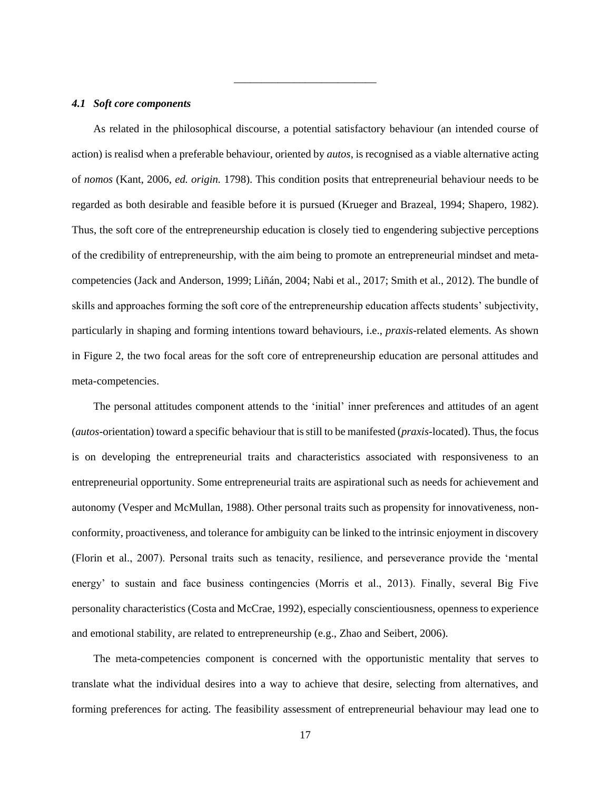## *4.1 Soft core components*

As related in the philosophical discourse, a potential satisfactory behaviour (an intended course of action) is realisd when a preferable behaviour, oriented by *autos*, is recognised as a viable alternative acting of *nomos* (Kant, 2006, *ed. origin.* 1798). This condition posits that entrepreneurial behaviour needs to be regarded as both desirable and feasible before it is pursued (Krueger and Brazeal, 1994; Shapero, 1982). Thus, the soft core of the entrepreneurship education is closely tied to engendering subjective perceptions of the credibility of entrepreneurship, with the aim being to promote an entrepreneurial mindset and metacompetencies (Jack and Anderson, 1999; Liñán, 2004; Nabi et al., 2017; Smith et al., 2012). The bundle of skills and approaches forming the soft core of the entrepreneurship education affects students' subjectivity, particularly in shaping and forming intentions toward behaviours, i.e., *praxis*-related elements. As shown in Figure 2, the two focal areas for the soft core of entrepreneurship education are personal attitudes and meta-competencies.

\_\_\_\_\_\_\_\_\_\_\_\_\_\_\_\_\_\_\_\_\_\_\_\_\_\_

The personal attitudes component attends to the 'initial' inner preferences and attitudes of an agent (*autos*-orientation) toward a specific behaviour that is still to be manifested (*praxis*-located). Thus, the focus is on developing the entrepreneurial traits and characteristics associated with responsiveness to an entrepreneurial opportunity. Some entrepreneurial traits are aspirational such as needs for achievement and autonomy (Vesper and McMullan, 1988). Other personal traits such as propensity for innovativeness, nonconformity, proactiveness, and tolerance for ambiguity can be linked to the intrinsic enjoyment in discovery (Florin et al., 2007). Personal traits such as tenacity, resilience, and perseverance provide the 'mental energy' to sustain and face business contingencies (Morris et al., 2013). Finally, several Big Five personality characteristics (Costa and McCrae, 1992), especially conscientiousness, openness to experience and emotional stability, are related to entrepreneurship (e.g., Zhao and Seibert, 2006).

The meta-competencies component is concerned with the opportunistic mentality that serves to translate what the individual desires into a way to achieve that desire, selecting from alternatives, and forming preferences for acting. The feasibility assessment of entrepreneurial behaviour may lead one to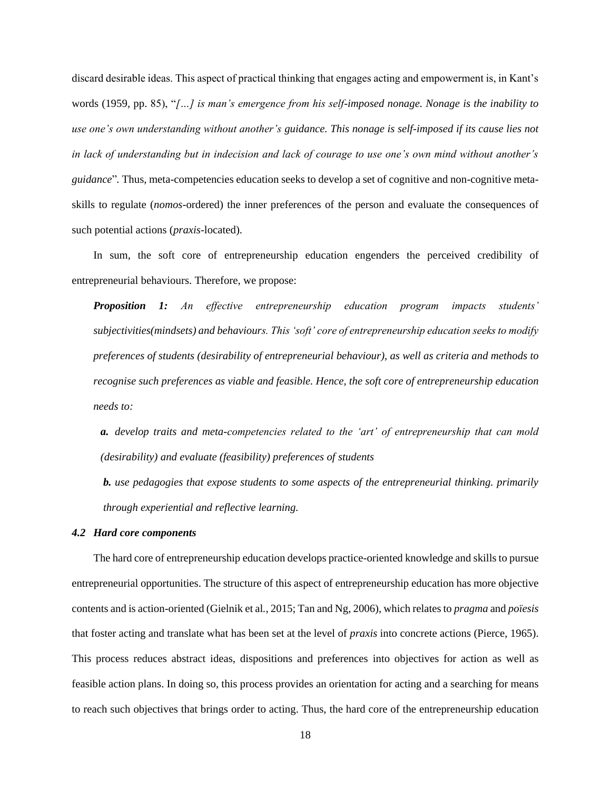discard desirable ideas. This aspect of practical thinking that engages acting and empowerment is, in Kant's words (1959, pp. 85), "*[…] is man's emergence from his self-imposed nonage. Nonage is the inability to use one's own understanding without another's guidance. This nonage is self-imposed if its cause lies not in lack of understanding but in indecision and lack of courage to use one's own mind without another's guidance*"*.* Thus, meta-competencies education seeks to develop a set of cognitive and non-cognitive metaskills to regulate (*nomos*-ordered) the inner preferences of the person and evaluate the consequences of such potential actions (*praxis*-located).

In sum, the soft core of entrepreneurship education engenders the perceived credibility of entrepreneurial behaviours. Therefore, we propose:

*Proposition 1: An effective entrepreneurship education program impacts students' subjectivities(mindsets) and behaviours. This 'soft' core of entrepreneurship education seeks to modify preferences of students (desirability of entrepreneurial behaviour), as well as criteria and methods to recognise such preferences as viable and feasible. Hence, the soft core of entrepreneurship education needs to:*

*a. develop traits and meta-competencies related to the 'art' of entrepreneurship that can mold (desirability) and evaluate (feasibility) preferences of students*

*b. use pedagogies that expose students to some aspects of the entrepreneurial thinking. primarily through experiential and reflective learning.* 

# *4.2 Hard core components*

The hard core of entrepreneurship education develops practice-oriented knowledge and skills to pursue entrepreneurial opportunities. The structure of this aspect of entrepreneurship education has more objective contents and is action-oriented (Gielnik et al*.*, 2015; Tan and Ng, 2006), which relatesto *pragma* and *poïesis*  that foster acting and translate what has been set at the level of *praxis* into concrete actions (Pierce, 1965). This process reduces abstract ideas, dispositions and preferences into objectives for action as well as feasible action plans. In doing so, this process provides an orientation for acting and a searching for means to reach such objectives that brings order to acting. Thus, the hard core of the entrepreneurship education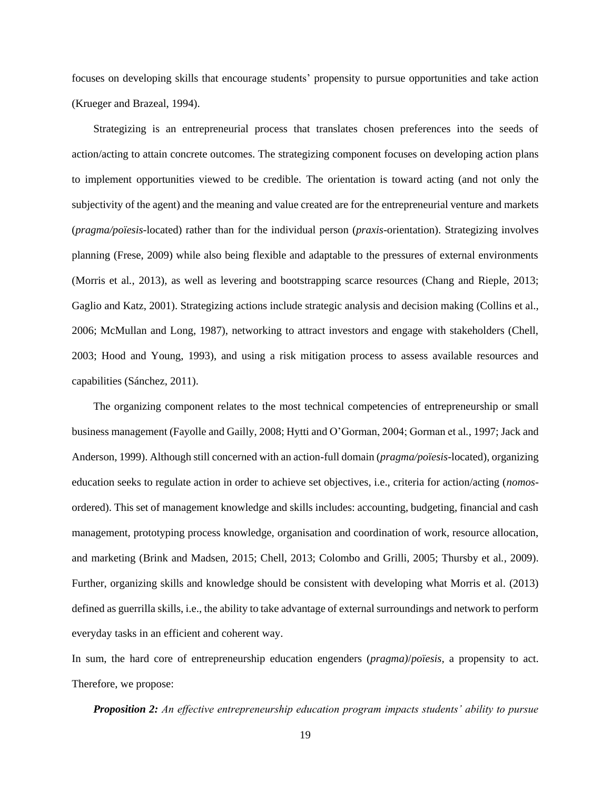focuses on developing skills that encourage students' propensity to pursue opportunities and take action (Krueger and Brazeal, 1994).

Strategizing is an entrepreneurial process that translates chosen preferences into the seeds of action/acting to attain concrete outcomes. The strategizing component focuses on developing action plans to implement opportunities viewed to be credible. The orientation is toward acting (and not only the subjectivity of the agent) and the meaning and value created are for the entrepreneurial venture and markets (*pragma/poïesis*-located) rather than for the individual person (*praxis*-orientation). Strategizing involves planning (Frese, 2009) while also being flexible and adaptable to the pressures of external environments (Morris et al*.*, 2013), as well as levering and bootstrapping scarce resources (Chang and Rieple, 2013; Gaglio and Katz, 2001). Strategizing actions include strategic analysis and decision making (Collins et al., 2006; McMullan and Long, 1987), networking to attract investors and engage with stakeholders (Chell, 2003; Hood and Young, 1993), and using a risk mitigation process to assess available resources and capabilities (Sánchez, 2011).

The organizing component relates to the most technical competencies of entrepreneurship or small business management (Fayolle and Gailly, 2008; Hytti and O'Gorman, 2004; Gorman et al*.*, 1997; Jack and Anderson, 1999). Although still concerned with an action-full domain (*pragma/poïesis*-located), organizing education seeks to regulate action in order to achieve set objectives, i.e., criteria for action/acting (*nomos*ordered). This set of management knowledge and skills includes: accounting, budgeting, financial and cash management, prototyping process knowledge, organisation and coordination of work, resource allocation, and marketing (Brink and Madsen, 2015; Chell, 2013; Colombo and Grilli, 2005; Thursby et al*.*, 2009). Further, organizing skills and knowledge should be consistent with developing what Morris et al*.* (2013) defined as guerrilla skills, i.e., the ability to take advantage of external surroundings and network to perform everyday tasks in an efficient and coherent way.

In sum, the hard core of entrepreneurship education engenders (*pragma)*/*poïesis,* a propensity to act. Therefore, we propose:

*Proposition 2: An effective entrepreneurship education program impacts students' ability to pursue*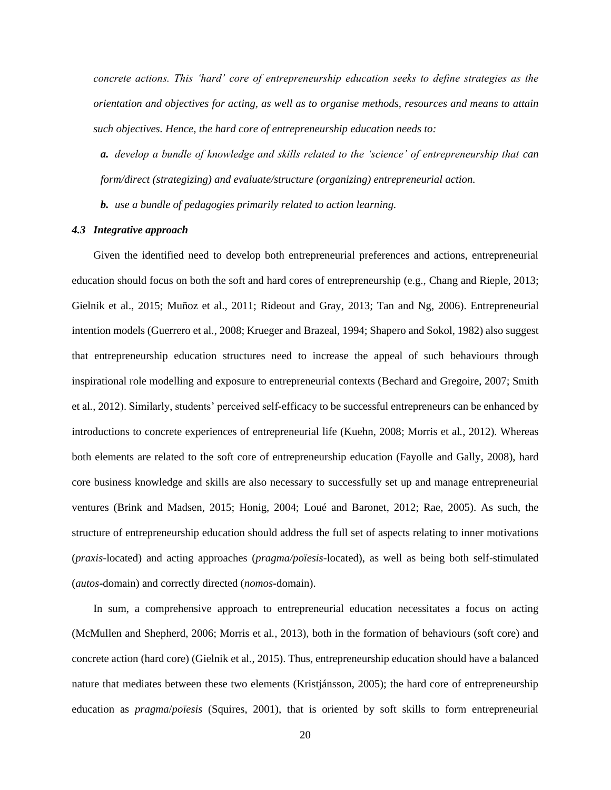*concrete actions. This 'hard' core of entrepreneurship education seeks to define strategies as the orientation and objectives for acting, as well as to organise methods, resources and means to attain such objectives. Hence, the hard core of entrepreneurship education needs to:*

*a. develop a bundle of knowledge and skills related to the 'science' of entrepreneurship that can form/direct (strategizing) and evaluate/structure (organizing) entrepreneurial action.*

*b. use a bundle of pedagogies primarily related to action learning.*

#### *4.3 Integrative approach*

Given the identified need to develop both entrepreneurial preferences and actions, entrepreneurial education should focus on both the soft and hard cores of entrepreneurship (e.g., Chang and Rieple, 2013; Gielnik et al., 2015; Muñoz et al., 2011; Rideout and Gray, 2013; Tan and Ng, 2006). Entrepreneurial intention models (Guerrero et al*.*, 2008; Krueger and Brazeal, 1994; Shapero and Sokol, 1982) also suggest that entrepreneurship education structures need to increase the appeal of such behaviours through inspirational role modelling and exposure to entrepreneurial contexts (Bechard and Gregoire, 2007; Smith et al*.*, 2012). Similarly, students' perceived self-efficacy to be successful entrepreneurs can be enhanced by introductions to concrete experiences of entrepreneurial life (Kuehn, 2008; Morris et al*.*, 2012). Whereas both elements are related to the soft core of entrepreneurship education (Fayolle and Gally, 2008), hard core business knowledge and skills are also necessary to successfully set up and manage entrepreneurial ventures (Brink and Madsen, 2015; Honig, 2004; Loué and Baronet, 2012; Rae, 2005). As such, the structure of entrepreneurship education should address the full set of aspects relating to inner motivations (*praxis*-located) and acting approaches (*pragma/poïesis*-located), as well as being both self-stimulated (*autos*-domain) and correctly directed (*nomos*-domain).

In sum, a comprehensive approach to entrepreneurial education necessitates a focus on acting (McMullen and Shepherd, 2006; Morris et al*.*, 2013), both in the formation of behaviours (soft core) and concrete action (hard core) (Gielnik et al*.*, 2015). Thus, entrepreneurship education should have a balanced nature that mediates between these two elements (Kristjánsson, 2005); the hard core of entrepreneurship education as *pragma*/*poïesis* (Squires, 2001), that is oriented by soft skills to form entrepreneurial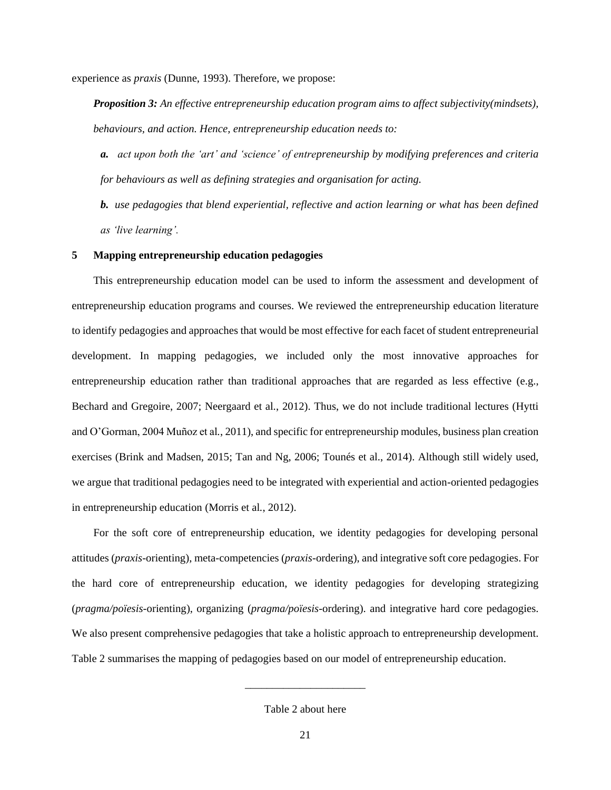experience as *praxis* (Dunne, 1993). Therefore, we propose:

*Proposition 3: An effective entrepreneurship education program aims to affect subjectivity(mindsets), behaviours, and action. Hence, entrepreneurship education needs to:*

*a. act upon both the 'art' and 'science' of entrepreneurship by modifying preferences and criteria for behaviours as well as defining strategies and organisation for acting.*

*b. use pedagogies that blend experiential, reflective and action learning or what has been defined as 'live learning'.*

## **5 Mapping entrepreneurship education pedagogies**

This entrepreneurship education model can be used to inform the assessment and development of entrepreneurship education programs and courses. We reviewed the entrepreneurship education literature to identify pedagogies and approaches that would be most effective for each facet of student entrepreneurial development. In mapping pedagogies, we included only the most innovative approaches for entrepreneurship education rather than traditional approaches that are regarded as less effective (e.g., Bechard and Gregoire, 2007; Neergaard et al*.*, 2012). Thus, we do not include traditional lectures (Hytti and O'Gorman, 2004 Muñoz et al*.*, 2011), and specific for entrepreneurship modules, business plan creation exercises (Brink and Madsen, 2015; Tan and Ng, 2006; Tounés et al., 2014). Although still widely used, we argue that traditional pedagogies need to be integrated with experiential and action-oriented pedagogies in entrepreneurship education (Morris et al*.*, 2012).

For the soft core of entrepreneurship education, we identity pedagogies for developing personal attitudes (*praxis*-orienting), meta-competencies (*praxis*-ordering), and integrative soft core pedagogies. For the hard core of entrepreneurship education, we identity pedagogies for developing strategizing (*pragma/poïesis*-orienting), organizing (*pragma/poïesis*-ordering). and integrative hard core pedagogies. We also present comprehensive pedagogies that take a holistic approach to entrepreneurship development. Table 2 summarises the mapping of pedagogies based on our model of entrepreneurship education.

\_\_\_\_\_\_\_\_\_\_\_\_\_\_\_\_\_\_\_\_\_\_

Table 2 about here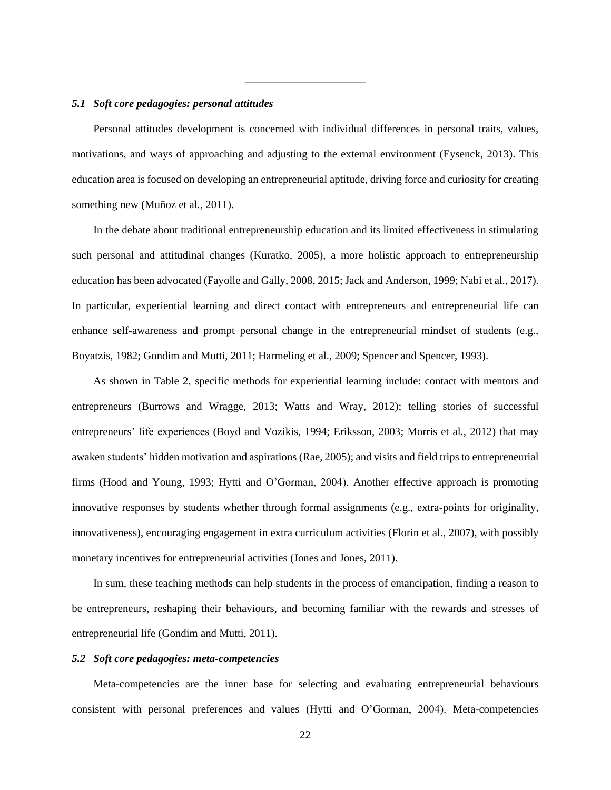# *5.1 Soft core pedagogies: personal attitudes*

Personal attitudes development is concerned with individual differences in personal traits, values, motivations, and ways of approaching and adjusting to the external environment (Eysenck, 2013). This education area is focused on developing an entrepreneurial aptitude, driving force and curiosity for creating something new (Muñoz et al*.*, 2011).

\_\_\_\_\_\_\_\_\_\_\_\_\_\_\_\_\_\_\_\_\_\_

In the debate about traditional entrepreneurship education and its limited effectiveness in stimulating such personal and attitudinal changes (Kuratko, 2005), a more holistic approach to entrepreneurship education has been advocated (Fayolle and Gally, 2008, 2015; Jack and Anderson, 1999; Nabi et al*.*, 2017). In particular, experiential learning and direct contact with entrepreneurs and entrepreneurial life can enhance self-awareness and prompt personal change in the entrepreneurial mindset of students (e.g., Boyatzis, 1982; Gondim and Mutti, 2011; Harmeling et al., 2009; Spencer and Spencer, 1993).

As shown in Table 2, specific methods for experiential learning include: contact with mentors and entrepreneurs (Burrows and Wragge, 2013; Watts and Wray, 2012); telling stories of successful entrepreneurs' life experiences (Boyd and Vozikis, 1994; Eriksson, 2003; Morris et al*.*, 2012) that may awaken students' hidden motivation and aspirations (Rae, 2005); and visits and field trips to entrepreneurial firms (Hood and Young, 1993; Hytti and O'Gorman, 2004). Another effective approach is promoting innovative responses by students whether through formal assignments (e.g., extra-points for originality, innovativeness), encouraging engagement in extra curriculum activities (Florin et al*.*, 2007), with possibly monetary incentives for entrepreneurial activities (Jones and Jones, 2011).

In sum, these teaching methods can help students in the process of emancipation, finding a reason to be entrepreneurs, reshaping their behaviours, and becoming familiar with the rewards and stresses of entrepreneurial life (Gondim and Mutti, 2011).

# *5.2 Soft core pedagogies: meta-competencies*

Meta-competencies are the inner base for selecting and evaluating entrepreneurial behaviours consistent with personal preferences and values (Hytti and O'Gorman, 2004). Meta-competencies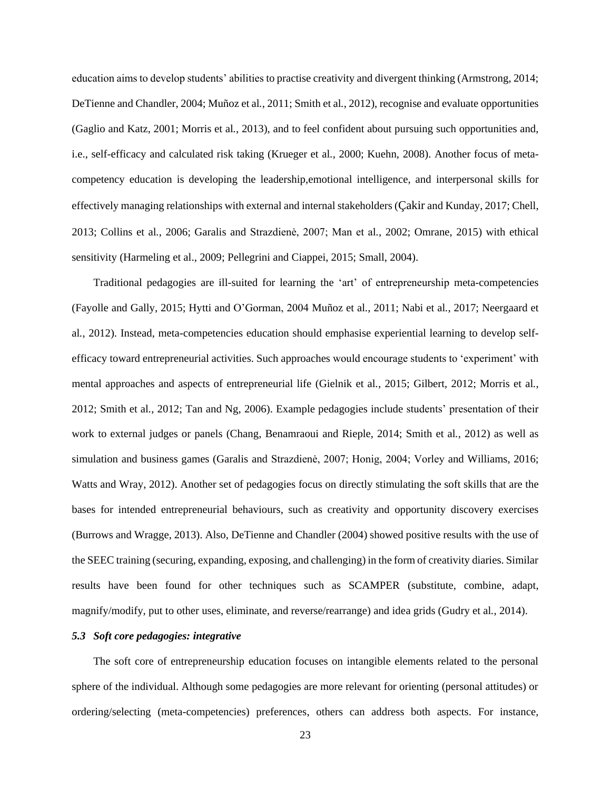education aims to develop students' abilities to practise creativity and divergent thinking (Armstrong, 2014; DeTienne and Chandler, 2004; Muñoz et al*.*, 2011; Smith et al*.*, 2012), recognise and evaluate opportunities (Gaglio and Katz, 2001; Morris et al*.*, 2013), and to feel confident about pursuing such opportunities and, i.e., self-efficacy and calculated risk taking (Krueger et al*.*, 2000; Kuehn, 2008). Another focus of metacompetency education is developing the leadership,emotional intelligence, and interpersonal skills for effectively managing relationships with external and internal stakeholders (Çakir and Kunday, 2017; Chell, 2013; Collins et al*.*, 2006; Garalis and Strazdienė, 2007; Man et al*.*, 2002; Omrane, 2015) with ethical sensitivity (Harmeling et al., 2009; Pellegrini and Ciappei, 2015; Small, 2004).

Traditional pedagogies are ill-suited for learning the 'art' of entrepreneurship meta-competencies (Fayolle and Gally, 2015; Hytti and O'Gorman, 2004 Muñoz et al*.*, 2011; Nabi et al*.*, 2017; Neergaard et al*.*, 2012). Instead, meta-competencies education should emphasise experiential learning to develop selfefficacy toward entrepreneurial activities. Such approaches would encourage students to 'experiment' with mental approaches and aspects of entrepreneurial life (Gielnik et al*.*, 2015; Gilbert, 2012; Morris et al*.*, 2012; Smith et al*.*, 2012; Tan and Ng, 2006). Example pedagogies include students' presentation of their work to external judges or panels (Chang, Benamraoui and Rieple, 2014; Smith et al*.*, 2012) as well as simulation and business games (Garalis and Strazdienė, 2007; Honig, 2004; Vorley and Williams, 2016; Watts and Wray, 2012). Another set of pedagogies focus on directly stimulating the soft skills that are the bases for intended entrepreneurial behaviours, such as creativity and opportunity discovery exercises (Burrows and Wragge, 2013). Also, DeTienne and Chandler (2004) showed positive results with the use of the SEEC training (securing, expanding, exposing, and challenging) in the form of creativity diaries. Similar results have been found for other techniques such as SCAMPER (substitute, combine, adapt, magnify/modify, put to other uses, eliminate, and reverse/rearrange) and idea grids (Gudry et al*.*, 2014).

# *5.3 Soft core pedagogies: integrative*

The soft core of entrepreneurship education focuses on intangible elements related to the personal sphere of the individual. Although some pedagogies are more relevant for orienting (personal attitudes) or ordering/selecting (meta-competencies) preferences, others can address both aspects. For instance,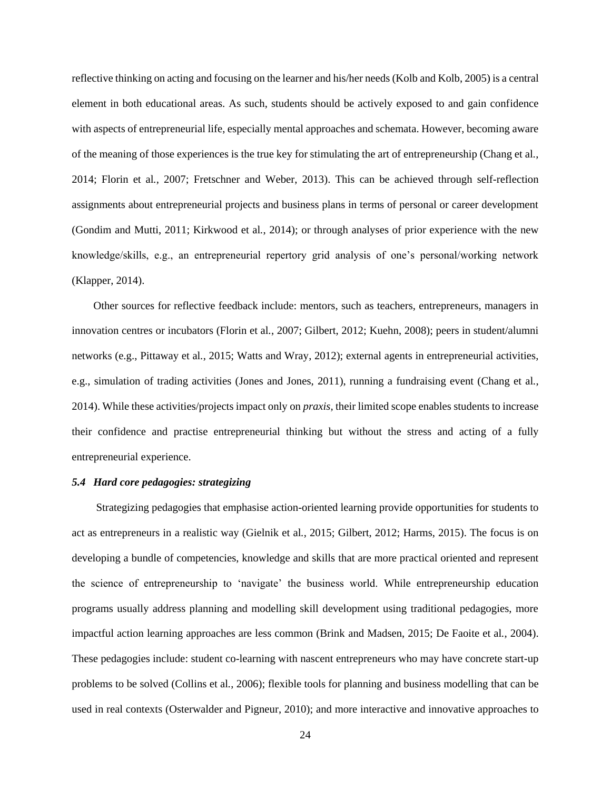reflective thinking on acting and focusing on the learner and his/her needs (Kolb and Kolb, 2005) is a central element in both educational areas. As such, students should be actively exposed to and gain confidence with aspects of entrepreneurial life, especially mental approaches and schemata. However, becoming aware of the meaning of those experiences is the true key for stimulating the art of entrepreneurship (Chang et al*.*, 2014; Florin et al*.*, 2007; Fretschner and Weber, 2013). This can be achieved through self-reflection assignments about entrepreneurial projects and business plans in terms of personal or career development (Gondim and Mutti, 2011; Kirkwood et al*.*, 2014); or through analyses of prior experience with the new knowledge/skills, e.g., an entrepreneurial repertory grid analysis of one's personal/working network (Klapper, 2014).

Other sources for reflective feedback include: mentors, such as teachers, entrepreneurs, managers in innovation centres or incubators (Florin et al*.*, 2007; Gilbert, 2012; Kuehn, 2008); peers in student/alumni networks (e.g., Pittaway et al*.*, 2015; Watts and Wray, 2012); external agents in entrepreneurial activities, e.g., simulation of trading activities (Jones and Jones, 2011), running a fundraising event (Chang et al*.*, 2014). While these activities/projects impact only on *praxis,* their limited scope enables students to increase their confidence and practise entrepreneurial thinking but without the stress and acting of a fully entrepreneurial experience.

#### *5.4 Hard core pedagogies: strategizing*

Strategizing pedagogies that emphasise action-oriented learning provide opportunities for students to act as entrepreneurs in a realistic way (Gielnik et al*.*, 2015; Gilbert, 2012; Harms, 2015). The focus is on developing a bundle of competencies, knowledge and skills that are more practical oriented and represent the science of entrepreneurship to 'navigate' the business world. While entrepreneurship education programs usually address planning and modelling skill development using traditional pedagogies, more impactful action learning approaches are less common (Brink and Madsen, 2015; De Faoite et al*.*, 2004). These pedagogies include: student co-learning with nascent entrepreneurs who may have concrete start-up problems to be solved (Collins et al*.*, 2006); flexible tools for planning and business modelling that can be used in real contexts (Osterwalder and Pigneur, 2010); and more interactive and innovative approaches to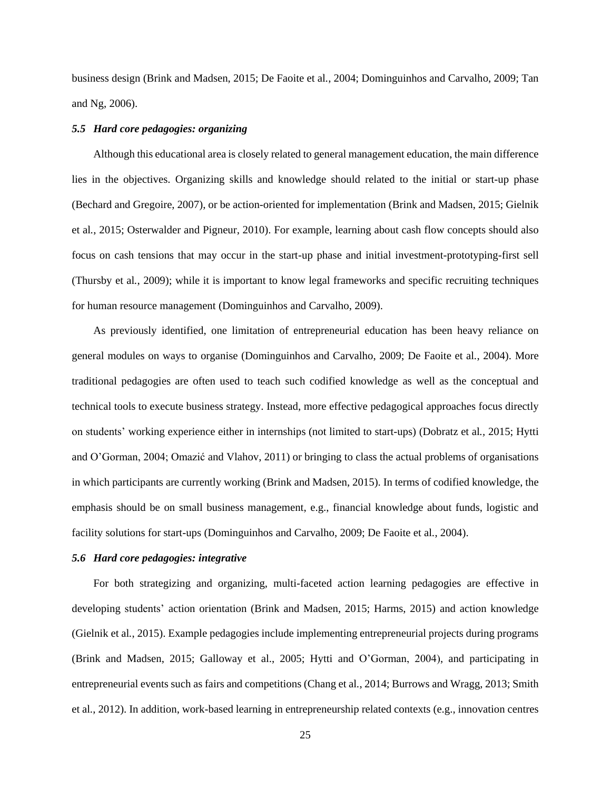business design (Brink and Madsen, 2015; De Faoite et al*.*, 2004; Dominguinhos and Carvalho, 2009; Tan and Ng, 2006).

#### *5.5 Hard core pedagogies: organizing*

Although this educational area is closely related to general management education, the main difference lies in the objectives. Organizing skills and knowledge should related to the initial or start-up phase (Bechard and Gregoire, 2007), or be action-oriented for implementation (Brink and Madsen, 2015; Gielnik et al*.*, 2015; Osterwalder and Pigneur, 2010). For example, learning about cash flow concepts should also focus on cash tensions that may occur in the start-up phase and initial investment-prototyping-first sell (Thursby et al*.*, 2009); while it is important to know legal frameworks and specific recruiting techniques for human resource management (Dominguinhos and Carvalho, 2009).

As previously identified, one limitation of entrepreneurial education has been heavy reliance on general modules on ways to organise (Dominguinhos and Carvalho, 2009; De Faoite et al*.*, 2004). More traditional pedagogies are often used to teach such codified knowledge as well as the conceptual and technical tools to execute business strategy. Instead, more effective pedagogical approaches focus directly on students' working experience either in internships (not limited to start-ups) (Dobratz et al*.,* 2015; Hytti and O'Gorman, 2004; Omazić and Vlahov, 2011) or bringing to class the actual problems of organisations in which participants are currently working (Brink and Madsen, 2015). In terms of codified knowledge, the emphasis should be on small business management, e.g., financial knowledge about funds, logistic and facility solutions for start-ups (Dominguinhos and Carvalho, 2009; De Faoite et al*.*, 2004).

#### *5.6 Hard core pedagogies: integrative*

For both strategizing and organizing, multi-faceted action learning pedagogies are effective in developing students' action orientation (Brink and Madsen, 2015; Harms, 2015) and action knowledge (Gielnik et al*.*, 2015). Example pedagogies include implementing entrepreneurial projects during programs (Brink and Madsen, 2015; Galloway et al., 2005; Hytti and O'Gorman, 2004), and participating in entrepreneurial events such as fairs and competitions (Chang et al*.*, 2014; Burrows and Wragg, 2013; Smith et al*.*, 2012). In addition, work-based learning in entrepreneurship related contexts (e.g., innovation centres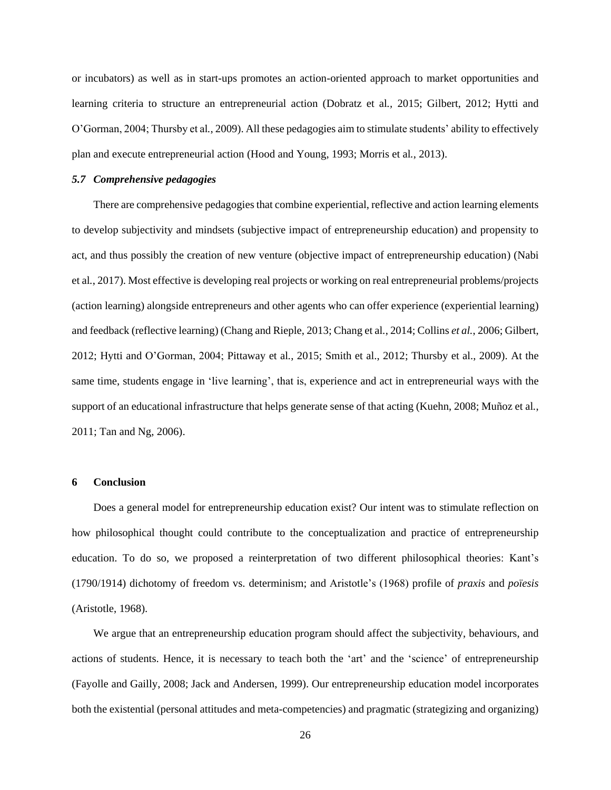or incubators) as well as in start-ups promotes an action-oriented approach to market opportunities and learning criteria to structure an entrepreneurial action (Dobratz et al*.,* 2015; Gilbert, 2012; Hytti and O'Gorman, 2004; Thursby et al*.*, 2009). All these pedagogies aim to stimulate students' ability to effectively plan and execute entrepreneurial action (Hood and Young, 1993; Morris et al*.*, 2013).

#### *5.7 Comprehensive pedagogies*

There are comprehensive pedagogies that combine experiential, reflective and action learning elements to develop subjectivity and mindsets (subjective impact of entrepreneurship education) and propensity to act, and thus possibly the creation of new venture (objective impact of entrepreneurship education) (Nabi et al*.*, 2017). Most effective is developing real projects or working on real entrepreneurial problems/projects (action learning) alongside entrepreneurs and other agents who can offer experience (experiential learning) and feedback (reflective learning) (Chang and Rieple, 2013; Chang et al*.*, 2014; Collins *et al.*, 2006; Gilbert, 2012; Hytti and O'Gorman, 2004; Pittaway et al*.*, 2015; Smith et al., 2012; Thursby et al., 2009). At the same time, students engage in 'live learning', that is, experience and act in entrepreneurial ways with the support of an educational infrastructure that helps generate sense of that acting (Kuehn, 2008; Muñoz et al*.*, 2011; Tan and Ng, 2006).

#### **6 Conclusion**

Does a general model for entrepreneurship education exist? Our intent was to stimulate reflection on how philosophical thought could contribute to the conceptualization and practice of entrepreneurship education. To do so, we proposed a reinterpretation of two different philosophical theories: Kant's (1790/1914) dichotomy of freedom vs. determinism; and Aristotle's (1968) profile of *praxis* and *poïesis* (Aristotle, 1968).

We argue that an entrepreneurship education program should affect the subjectivity, behaviours, and actions of students. Hence, it is necessary to teach both the 'art' and the 'science' of entrepreneurship (Fayolle and Gailly, 2008; Jack and Andersen, 1999). Our entrepreneurship education model incorporates both the existential (personal attitudes and meta-competencies) and pragmatic (strategizing and organizing)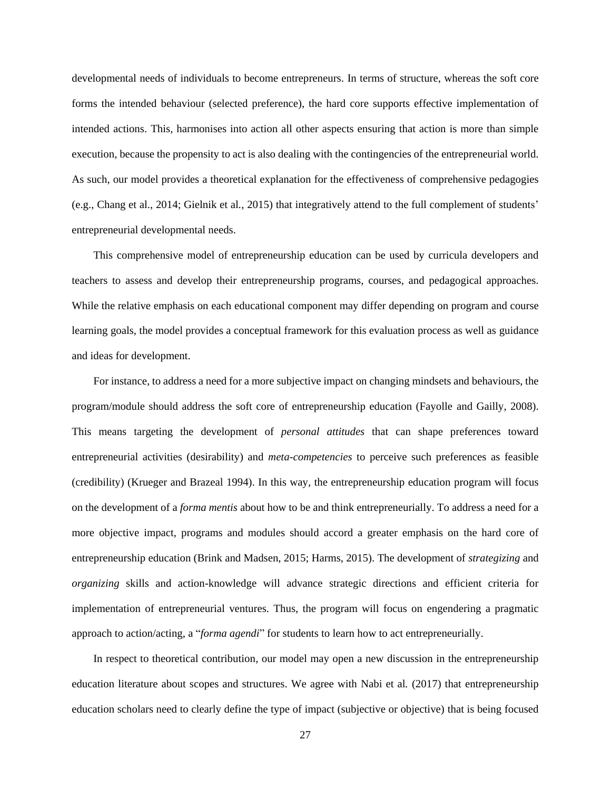developmental needs of individuals to become entrepreneurs. In terms of structure, whereas the soft core forms the intended behaviour (selected preference), the hard core supports effective implementation of intended actions. This, harmonises into action all other aspects ensuring that action is more than simple execution, because the propensity to act is also dealing with the contingencies of the entrepreneurial world. As such, our model provides a theoretical explanation for the effectiveness of comprehensive pedagogies (e.g., Chang et al., 2014; Gielnik et al*.*, 2015) that integratively attend to the full complement of students' entrepreneurial developmental needs.

This comprehensive model of entrepreneurship education can be used by curricula developers and teachers to assess and develop their entrepreneurship programs, courses, and pedagogical approaches. While the relative emphasis on each educational component may differ depending on program and course learning goals, the model provides a conceptual framework for this evaluation process as well as guidance and ideas for development.

For instance, to address a need for a more subjective impact on changing mindsets and behaviours, the program/module should address the soft core of entrepreneurship education (Fayolle and Gailly, 2008). This means targeting the development of *personal attitudes* that can shape preferences toward entrepreneurial activities (desirability) and *meta-competencies* to perceive such preferences as feasible (credibility) (Krueger and Brazeal 1994). In this way, the entrepreneurship education program will focus on the development of a *forma mentis* about how to be and think entrepreneurially. To address a need for a more objective impact, programs and modules should accord a greater emphasis on the hard core of entrepreneurship education (Brink and Madsen, 2015; Harms, 2015). The development of *strategizing* and *organizing* skills and action-knowledge will advance strategic directions and efficient criteria for implementation of entrepreneurial ventures. Thus, the program will focus on engendering a pragmatic approach to action/acting, a "*forma agendi*" for students to learn how to act entrepreneurially.

In respect to theoretical contribution, our model may open a new discussion in the entrepreneurship education literature about scopes and structures. We agree with Nabi et al*.* (2017) that entrepreneurship education scholars need to clearly define the type of impact (subjective or objective) that is being focused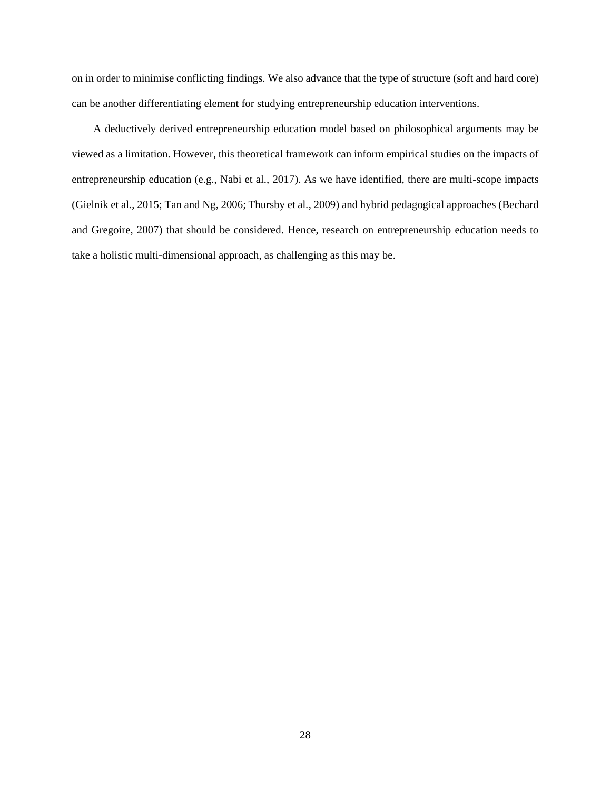on in order to minimise conflicting findings. We also advance that the type of structure (soft and hard core) can be another differentiating element for studying entrepreneurship education interventions.

A deductively derived entrepreneurship education model based on philosophical arguments may be viewed as a limitation. However, this theoretical framework can inform empirical studies on the impacts of entrepreneurship education (e.g., Nabi et al., 2017). As we have identified, there are multi-scope impacts (Gielnik et al*.*, 2015; Tan and Ng, 2006; Thursby et al*.*, 2009) and hybrid pedagogical approaches (Bechard and Gregoire, 2007) that should be considered. Hence, research on entrepreneurship education needs to take a holistic multi-dimensional approach, as challenging as this may be.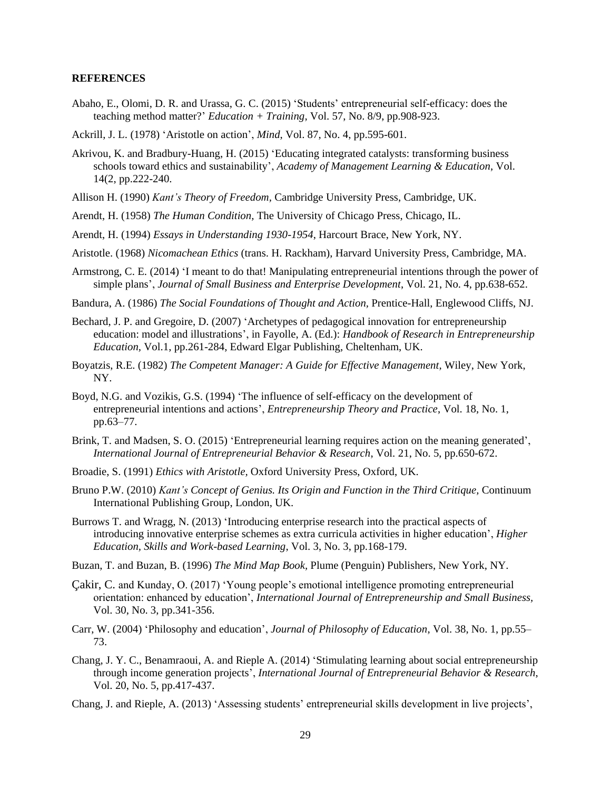#### **REFERENCES**

- Abaho, E., Olomi, D. R. and Urassa, G. C. (2015) 'Students' entrepreneurial self-efficacy: does the teaching method matter?' *Education + Training*, Vol. 57, No. 8/9, pp.908-923.
- Ackrill, J. L. (1978) 'Aristotle on action', *Mind*, Vol. 87, No. 4, pp.595-601.
- Akrivou, K. and Bradbury-Huang, H. (2015) 'Educating integrated catalysts: transforming business schools toward ethics and sustainability', *Academy of Management Learning & Education*, Vol. 14(2, pp.222-240.
- Allison H. (1990) *Kant's Theory of Freedom,* Cambridge University Press, Cambridge, UK.
- Arendt, H. (1958) *The Human Condition,* The University of Chicago Press, Chicago, IL.
- Arendt, H. (1994) *Essays in Understanding 1930-1954*, Harcourt Brace, New York, NY.
- Aristotle. (1968) *Nicomachean Ethics* (trans. H. Rackham), Harvard University Press, Cambridge, MA.
- Armstrong, C. E. (2014) 'I meant to do that! Manipulating entrepreneurial intentions through the power of simple plans', *Journal of Small Business and Enterprise Development*, Vol. 21, No. 4, pp.638-652.
- Bandura, A. (1986) *The Social Foundations of Thought and Action,* Prentice-Hall, Englewood Cliffs, NJ.
- Bechard, J. P. and Gregoire, D. (2007) 'Archetypes of pedagogical innovation for entrepreneurship education: model and illustrations', in Fayolle, A. (Ed.): *Handbook of Research in Entrepreneurship Education,* Vol.1, pp.261-284, Edward Elgar Publishing, Cheltenham, UK.
- Boyatzis, R.E. (1982) *The Competent Manager: A Guide for Effective Management,* Wiley, New York, NY.
- Boyd, N.G. and Vozikis, G.S. (1994) 'The influence of self-efficacy on the development of entrepreneurial intentions and actions', *Entrepreneurship Theory and Practice*, Vol. 18, No. 1, pp.63–77.
- Brink, T. and Madsen, S. O. (2015) 'Entrepreneurial learning requires action on the meaning generated', *International Journal of Entrepreneurial Behavior & Research*, Vol. 21, No. 5, pp.650-672.
- Broadie, S. (1991) *Ethics with Aristotle,* Oxford University Press, Oxford, UK.
- Bruno P.W. (2010) *Kant's Concept of Genius. Its Origin and Function in the Third Critique,* Continuum International Publishing Group, London, UK.
- Burrows T. and Wragg, N. (2013) 'Introducing enterprise research into the practical aspects of introducing innovative enterprise schemes as extra curricula activities in higher education', *Higher Education, Skills and Work-based Learning*, Vol. 3, No. 3, pp.168-179.
- Buzan, T. and Buzan, B. (1996) *The Mind Map Book,* Plume (Penguin) Publishers, New York, NY.
- Çakir, C. and Kunday, O. (2017) 'Young people's emotional intelligence promoting entrepreneurial orientation: enhanced by education', *International Journal of Entrepreneurship and Small Business,* Vol. 30, No. 3, pp.341-356.
- Carr, W. (2004) 'Philosophy and education', *Journal of Philosophy of Education*, Vol. 38, No. 1, pp.55– 73.
- Chang, J. Y. C., Benamraoui, A. and Rieple A. (2014) 'Stimulating learning about social entrepreneurship through income generation projects', *International Journal of Entrepreneurial Behavior & Research*, Vol. 20, No. 5, pp.417-437.
- Chang, J. and Rieple, A. (2013) 'Assessing students' entrepreneurial skills development in live projects',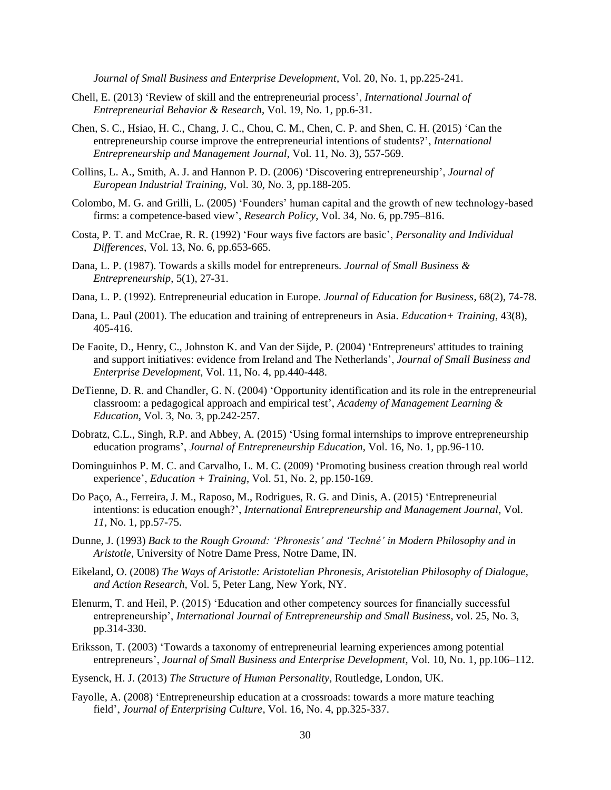*Journal of Small Business and Enterprise Development*, Vol. 20, No. 1, pp.225-241.

- Chell, E. (2013) 'Review of skill and the entrepreneurial process', *International Journal of Entrepreneurial Behavior & Research*, Vol. 19, No. 1, pp.6-31.
- Chen, S. C., Hsiao, H. C., Chang, J. C., Chou, C. M., Chen, C. P. and Shen, C. H. (2015) 'Can the entrepreneurship course improve the entrepreneurial intentions of students?', *International Entrepreneurship and Management Journal*, Vol. 11, No. 3), 557-569.
- Collins, L. A., Smith, A. J. and Hannon P. D. (2006) 'Discovering entrepreneurship', *Journal of European Industrial Training*, Vol. 30, No. 3, pp.188-205.
- Colombo, M. G. and Grilli, L. (2005) 'Founders' human capital and the growth of new technology-based firms: a competence-based view', *Research Policy*, Vol. 34, No. 6, pp.795–816.
- Costa, P. T. and McCrae, R. R. (1992) 'Four ways five factors are basic', *Personality and Individual Differences*, Vol. 13, No. 6, pp.653-665.
- Dana, L. P. (1987). Towards a skills model for entrepreneurs*. Journal of Small Business & Entrepreneurship*, 5(1), 27-31.
- Dana, L. P. (1992). Entrepreneurial education in Europe. *Journal of Education for Business*, 68(2), 74-78.
- Dana, L. Paul (2001). The education and training of entrepreneurs in Asia. *Education+ Training*, 43(8), 405-416.
- De Faoite, D., Henry, C., Johnston K. and Van der Sijde, P. (2004) 'Entrepreneurs' attitudes to training and support initiatives: evidence from Ireland and The Netherlands', *Journal of Small Business and Enterprise Development*, Vol. 11, No. 4, pp.440-448.
- DeTienne, D. R. and Chandler, G. N. (2004) 'Opportunity identification and its role in the entrepreneurial classroom: a pedagogical approach and empirical test', *Academy of Management Learning & Education*, Vol. 3, No. 3, pp.242-257.
- Dobratz, C.L., Singh, R.P. and Abbey, A. (2015) 'Using formal internships to improve entrepreneurship education programs', *Journal of Entrepreneurship Education*, Vol. 16, No. 1, pp.96-110.
- Dominguinhos P. M. C. and Carvalho, L. M. C. (2009) 'Promoting business creation through real world experience', *Education + Training*, Vol. 51, No. 2, pp.150-169.
- Do Paço, A., Ferreira, J. M., Raposo, M., Rodrigues, R. G. and Dinis, A. (2015) 'Entrepreneurial intentions: is education enough?', *International Entrepreneurship and Management Journal*, Vol. *11*, No. 1, pp.57-75.
- Dunne, J. (1993) *Back to the Rough Ground: 'Phronesis' and 'Techné' in Modern Philosophy and in Aristotle,* University of Notre Dame Press, Notre Dame, IN.
- Eikeland, O. (2008) *The Ways of Aristotle: Aristotelian Phronesis, Aristotelian Philosophy of Dialogue, and Action Research,* Vol. 5, Peter Lang, New York, NY.
- Elenurm, T. and Heil, P. (2015) 'Education and other competency sources for financially successful entrepreneurship', *International Journal of Entrepreneurship and Small Business*, vol. 25, No. 3, pp.314-330.
- Eriksson, T. (2003) 'Towards a taxonomy of entrepreneurial learning experiences among potential entrepreneurs', *Journal of Small Business and Enterprise Development*, Vol. 10, No. 1, pp.106–112.
- Eysenck, H. J. (2013) *The Structure of Human Personality,* Routledge, London, UK.
- Fayolle, A. (2008) 'Entrepreneurship education at a crossroads: towards a more mature teaching field', *Journal of Enterprising Culture*, Vol. 16, No. 4, pp.325-337.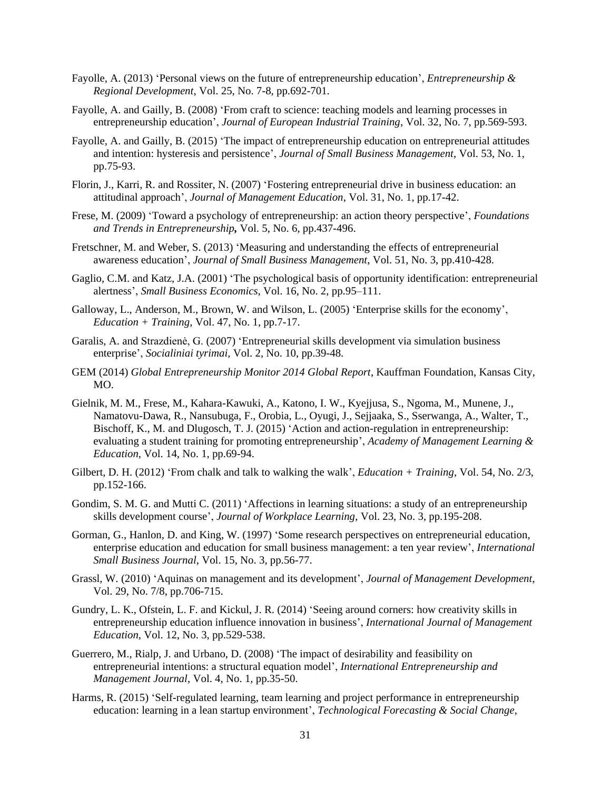- Fayolle, A. (2013) 'Personal views on the future of entrepreneurship education', *Entrepreneurship & Regional Development*, Vol. 25, No. 7-8, pp.692-701.
- Fayolle, A. and Gailly, B. (2008) 'From craft to science: teaching models and learning processes in entrepreneurship education', *Journal of European Industrial Training*, Vol. 32, No. 7, pp.569-593.
- Fayolle, A. and Gailly, B. (2015) 'The impact of entrepreneurship education on entrepreneurial attitudes and intention: hysteresis and persistence', *Journal of Small Business Management*, Vol. 53, No. 1, pp.75-93.
- Florin, J., Karri, R. and Rossiter, N. (2007) 'Fostering entrepreneurial drive in business education: an attitudinal approach', *Journal of Management Education*, Vol. 31, No. 1, pp.17-42.
- Frese, M. (2009) 'Toward a psychology of entrepreneurship: an action theory perspective', *Foundations and Trends in Entrepreneurship,* Vol. 5, No. 6, pp.437-496.
- Fretschner, M. and Weber, S. (2013) 'Measuring and understanding the effects of entrepreneurial awareness education', *Journal of Small Business Management*, Vol. 51, No. 3, pp.410-428.
- Gaglio, C.M. and Katz, J.A. (2001) 'The psychological basis of opportunity identification: entrepreneurial alertness', *Small Business Economics*, Vol. 16, No. 2, pp.95–111.
- Galloway, L., Anderson, M., Brown, W. and Wilson, L. (2005) 'Enterprise skills for the economy', *Education + Training*, Vol. 47, No. 1, pp.7-17.
- Garalis, A. and Strazdienė, G. (2007) 'Entrepreneurial skills development via simulation business enterprise', *Socialiniai tyrimai*, Vol. 2, No. 10, pp.39-48.
- GEM (2014) *Global Entrepreneurship Monitor 2014 Global Report*, Kauffman Foundation, Kansas City, MO.
- Gielnik, M. M., Frese, M., Kahara-Kawuki, A., Katono, I. W., Kyejjusa, S., Ngoma, M., Munene, J., Namatovu-Dawa, R., Nansubuga, F., Orobia, L., Oyugi, J., Sejjaaka, S., Sserwanga, A., Walter, T., Bischoff, K., M. and Dlugosch, T. J. (2015) 'Action and action-regulation in entrepreneurship: evaluating a student training for promoting entrepreneurship', *Academy of Management Learning & Education*, Vol. 14, No. 1, pp.69-94.
- Gilbert, D. H. (2012) 'From chalk and talk to walking the walk', *Education + Training*, Vol. 54, No. 2/3, pp.152-166.
- Gondim, S. M. G. and Mutti C. (2011) 'Affections in learning situations: a study of an entrepreneurship skills development course', *Journal of Workplace Learning*, Vol. 23, No. 3, pp.195-208.
- Gorman, G., Hanlon, D. and King, W. (1997) 'Some research perspectives on entrepreneurial education, enterprise education and education for small business management: a ten year review', *International Small Business Journal*, Vol. 15, No. 3, pp.56-77.
- Grassl, W. (2010) 'Aquinas on management and its development', *Journal of Management Development*, Vol. 29, No. 7/8, pp.706-715.
- Gundry, L. K., Ofstein, L. F. and Kickul, J. R. (2014) 'Seeing around corners: how creativity skills in entrepreneurship education influence innovation in business', *International Journal of Management Education*, Vol. 12, No. 3, pp.529-538.
- Guerrero, M., Rialp, J. and Urbano, D. (2008) 'The impact of desirability and feasibility on entrepreneurial intentions: a structural equation model', *International Entrepreneurship and Management Journal*, Vol. 4, No. 1, pp.35-50.
- Harms, R. (2015) 'Self-regulated learning, team learning and project performance in entrepreneurship education: learning in a lean startup environment', *Technological Forecasting & Social Change*,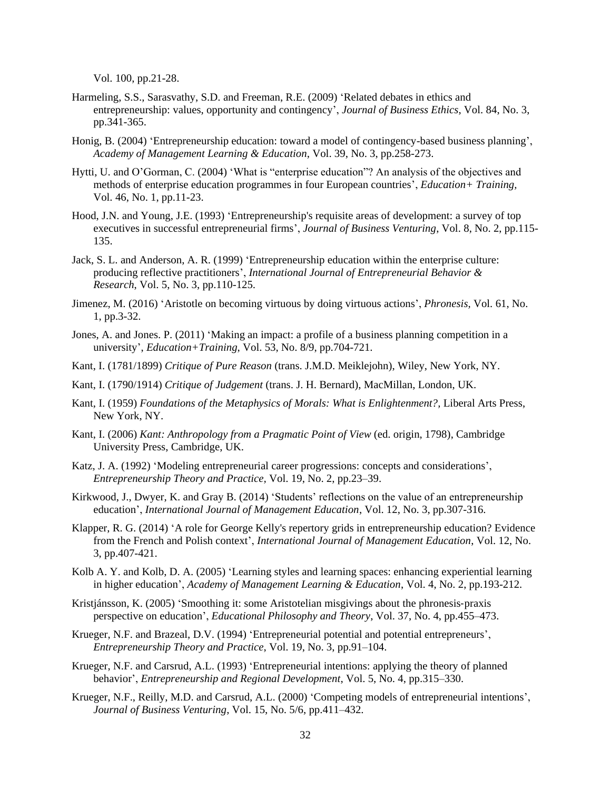Vol. 100, pp.21-28.

- Harmeling, S.S., Sarasvathy, S.D. and Freeman, R.E. (2009) 'Related debates in ethics and entrepreneurship: values, opportunity and contingency', *Journal of Business Ethics*, Vol. 84, No. 3, pp.341-365.
- Honig, B. (2004) 'Entrepreneurship education: toward a model of contingency-based business planning', *Academy of Management Learning & Education*, Vol. 39, No. 3, pp.258-273.
- Hytti, U. and O'Gorman, C. (2004) 'What is "enterprise education"? An analysis of the objectives and methods of enterprise education programmes in four European countries', *Education+ Training,*  Vol. 46, No. 1, pp.11-23.
- Hood, J.N. and Young, J.E. (1993) 'Entrepreneurship's requisite areas of development: a survey of top executives in successful entrepreneurial firms', *Journal of Business Venturing*, Vol. 8, No. 2, pp.115- 135.
- Jack, S. L. and Anderson, A. R. (1999) 'Entrepreneurship education within the enterprise culture: producing reflective practitioners', *International Journal of Entrepreneurial Behavior & Research*, Vol. 5, No. 3, pp.110-125.
- Jimenez, M. (2016) 'Aristotle on becoming virtuous by doing virtuous actions', *Phronesis,* Vol. 61, No. 1, pp.3-32.
- Jones, A. and Jones. P. (2011) 'Making an impact: a profile of a business planning competition in a university', *Education+Training*, Vol. 53, No. 8/9, pp.704-721.
- Kant, I. (1781/1899) *Critique of Pure Reason* (trans. J.M.D. Meiklejohn), Wiley, New York, NY.
- Kant, I. (1790/1914) *Critique of Judgement* (trans. J. H. Bernard), MacMillan, London, UK.
- Kant, I. (1959) *Foundations of the Metaphysics of Morals: What is Enlightenment?,* Liberal Arts Press, New York, NY.
- Kant, I. (2006) *Kant: Anthropology from a Pragmatic Point of View* (ed. origin, 1798), Cambridge University Press, Cambridge, UK.
- Katz, J. A. (1992) 'Modeling entrepreneurial career progressions: concepts and considerations', *Entrepreneurship Theory and Practice,* Vol. 19, No. 2, pp.23–39.
- Kirkwood, J., Dwyer, K. and Gray B. (2014) 'Students' reflections on the value of an entrepreneurship education', *International Journal of Management Education*, Vol. 12, No. 3, pp.307-316.
- Klapper, R. G. (2014) 'A role for George Kelly's repertory grids in entrepreneurship education? Evidence from the French and Polish context', *International Journal of Management Education*, Vol. 12, No. 3, pp.407-421.
- Kolb A. Y. and Kolb, D. A. (2005) 'Learning styles and learning spaces: enhancing experiential learning in higher education', *Academy of Management Learning & Education*, Vol. 4, No. 2, pp.193-212.
- Kristjánsson, K. (2005) 'Smoothing it: some Aristotelian misgivings about the phronesis-praxis perspective on education', *Educational Philosophy and Theory*, Vol. 37, No. 4, pp.455–473.
- Krueger, N.F. and Brazeal, D.V. (1994) 'Entrepreneurial potential and potential entrepreneurs', *Entrepreneurship Theory and Practice*, Vol. 19, No. 3, pp.91–104.
- Krueger, N.F. and Carsrud, A.L. (1993) 'Entrepreneurial intentions: applying the theory of planned behavior', *Entrepreneurship and Regional Development*, Vol. 5, No. 4, pp.315–330.
- Krueger, N.F., Reilly, M.D. and Carsrud, A.L. (2000) 'Competing models of entrepreneurial intentions', *Journal of Business Venturing*, Vol. 15, No. 5/6, pp.411–432.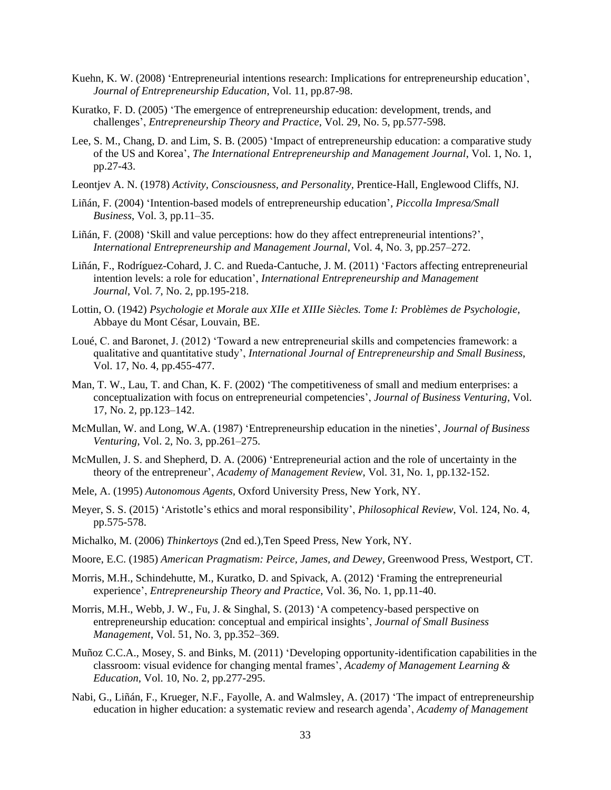- Kuehn, K. W. (2008) 'Entrepreneurial intentions research: Implications for entrepreneurship education', *Journal of Entrepreneurship Education*, Vol. 11, pp.87-98.
- Kuratko, F. D. (2005) 'The emergence of entrepreneurship education: development, trends, and challenges', *Entrepreneurship Theory and Practice*, Vol. 29, No. 5, pp.577-598.
- Lee, S. M., Chang, D. and Lim, S. B. (2005) 'Impact of entrepreneurship education: a comparative study of the US and Korea', *The International Entrepreneurship and Management Journal*, Vol. 1, No. 1, pp.27-43.
- Leontjev A. N. (1978) *Activity, Consciousness, and Personality,* Prentice-Hall, Englewood Cliffs, NJ.
- Liñán, F. (2004) 'Intention-based models of entrepreneurship education', *Piccolla Impresa/Small Business*, Vol. 3, pp.11–35.
- Liñán, F. (2008) 'Skill and value perceptions: how do they affect entrepreneurial intentions?', *International Entrepreneurship and Management Journal*, Vol. 4, No. 3, pp.257–272.
- Liñán, F., Rodríguez-Cohard, J. C. and Rueda-Cantuche, J. M. (2011) 'Factors affecting entrepreneurial intention levels: a role for education', *International Entrepreneurship and Management Journal*, Vol. *7*, No. 2, pp.195-218.
- Lottin, O. (1942) *Psychologie et Morale aux XIIe et XIIIe Siècles. Tome I: Problèmes de Psychologie,* Abbaye du Mont César, Louvain, BE.
- Loué, C. and Baronet, J. (2012) 'Toward a new entrepreneurial skills and competencies framework: a qualitative and quantitative study', *International Journal of Entrepreneurship and Small Business*, Vol. 17, No. 4, pp.455-477.
- Man, T. W., Lau, T. and Chan, K. F. (2002) 'The competitiveness of small and medium enterprises: a conceptualization with focus on entrepreneurial competencies', *Journal of Business Venturing*, Vol. 17, No. 2, pp.123–142.
- McMullan, W. and Long, W.A. (1987) 'Entrepreneurship education in the nineties', *Journal of Business Venturing*, Vol. 2, No. 3, pp.261–275.
- McMullen, J. S. and Shepherd, D. A. (2006) 'Entrepreneurial action and the role of uncertainty in the theory of the entrepreneur', *Academy of Management Review*, Vol. 31, No. 1, pp.132-152.
- Mele, A. (1995) *Autonomous Agents,* Oxford University Press, New York, NY.
- Meyer, S. S. (2015) 'Aristotle's ethics and moral responsibility', *Philosophical Review*, Vol. 124, No. 4, pp.575-578.
- Michalko, M. (2006) *Thinkertoys* (2nd ed.),Ten Speed Press, New York, NY.
- Moore, E.C. (1985) *American Pragmatism: Peirce, James, and Dewey,* Greenwood Press, Westport, CT.
- Morris, M.H., Schindehutte, M., Kuratko, D. and Spivack, A. (2012) 'Framing the entrepreneurial experience', *Entrepreneurship Theory and Practice*, Vol. 36, No. 1, pp.11-40.
- Morris, M.H., Webb, J. W., Fu, J. & Singhal, S. (2013) 'A competency-based perspective on entrepreneurship education: conceptual and empirical insights', *Journal of Small Business Management*, Vol. 51, No. 3, pp.352–369.
- Muñoz C.C.A., Mosey, S. and Binks, M. (2011) 'Developing opportunity-identification capabilities in the classroom: visual evidence for changing mental frames', *Academy of Management Learning & Education*, Vol. 10, No. 2, pp.277-295.
- Nabi, G., Liñán, F., Krueger, N.F., Fayolle, A. and Walmsley, A. (2017) 'The impact of entrepreneurship education in higher education: a systematic review and research agenda', *Academy of Management*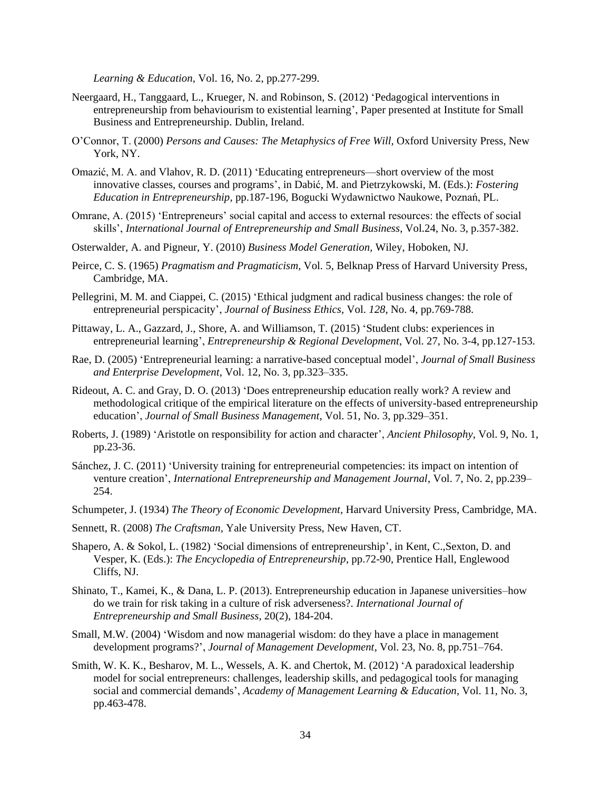*Learning & Education,* Vol. 16, No. 2, pp.277-299.

- Neergaard, H., Tanggaard, L., Krueger, N. and Robinson, S. (2012) 'Pedagogical interventions in entrepreneurship from behaviourism to existential learning', Paper presented at Institute for Small Business and Entrepreneurship. Dublin, Ireland.
- O'Connor, T. (2000) *Persons and Causes: The Metaphysics of Free Will,* Oxford University Press, New York, NY.
- Omazić, M. A. and Vlahov, R. D. (2011) 'Educating entrepreneurs—short overview of the most innovative classes, courses and programs', in Dabić, M. and Pietrzykowski, M. (Eds.): *Fostering Education in Entrepreneurship,* pp.187-196, Bogucki Wydawnictwo Naukowe, Poznań, PL.
- Omrane, A. (2015) 'Entrepreneurs' social capital and access to external resources: the effects of social skills', *International Journal of Entrepreneurship and Small Business*, Vol.24, No. 3, p.357-382.
- Osterwalder, A. and Pigneur, Y. (2010) *Business Model Generation,* Wiley, Hoboken, NJ.
- Peirce, C. S. (1965) *Pragmatism and Pragmaticism,* Vol. 5, Belknap Press of Harvard University Press, Cambridge, MA.
- Pellegrini, M. M. and Ciappei, C. (2015) 'Ethical judgment and radical business changes: the role of entrepreneurial perspicacity', *Journal of Business Ethics*, Vol. *128*, No. 4, pp.769-788.
- Pittaway, L. A., Gazzard, J., Shore, A. and Williamson, T. (2015) 'Student clubs: experiences in entrepreneurial learning', *Entrepreneurship & Regional Development*, Vol. 27, No. 3-4, pp.127-153.
- Rae, D. (2005) 'Entrepreneurial learning: a narrative-based conceptual model', *Journal of Small Business and Enterprise Development*, Vol. 12, No. 3, pp.323–335.
- Rideout, A. C. and Gray, D. O. (2013) 'Does entrepreneurship education really work? A review and methodological critique of the empirical literature on the effects of university-based entrepreneurship education', *Journal of Small Business Management*, Vol. 51, No. 3, pp.329–351.
- Roberts, J. (1989) 'Aristotle on responsibility for action and character', *Ancient Philosophy*, Vol. 9, No. 1, pp.23-36.
- Sánchez, J. C. (2011) 'University training for entrepreneurial competencies: its impact on intention of venture creation', *International Entrepreneurship and Management Journal*, Vol. 7, No. 2, pp.239– 254.
- Schumpeter, J. (1934) *The Theory of Economic Development,* Harvard University Press, Cambridge, MA.
- Sennett, R. (2008) *The Craftsman,* Yale University Press, New Haven, CT.
- Shapero, A. & Sokol, L. (1982) 'Social dimensions of entrepreneurship', in Kent, C.,Sexton, D. and Vesper, K. (Eds.): *The Encyclopedia of Entrepreneurship,* pp.72-90, Prentice Hall, Englewood Cliffs, NJ.
- Shinato, T., Kamei, K., & Dana, L. P. (2013). Entrepreneurship education in Japanese universities–how do we train for risk taking in a culture of risk adverseness?. *International Journal of Entrepreneurship and Small Business*, 20(2), 184-204.
- Small, M.W. (2004) 'Wisdom and now managerial wisdom: do they have a place in management development programs?', *Journal of Management Development*, Vol. 23, No. 8, pp.751–764.
- Smith, W. K. K., Besharov, M. L., Wessels, A. K. and Chertok, M. (2012) 'A paradoxical leadership model for social entrepreneurs: challenges, leadership skills, and pedagogical tools for managing social and commercial demands', *Academy of Management Learning & Education*, Vol. 11, No. 3, pp.463-478.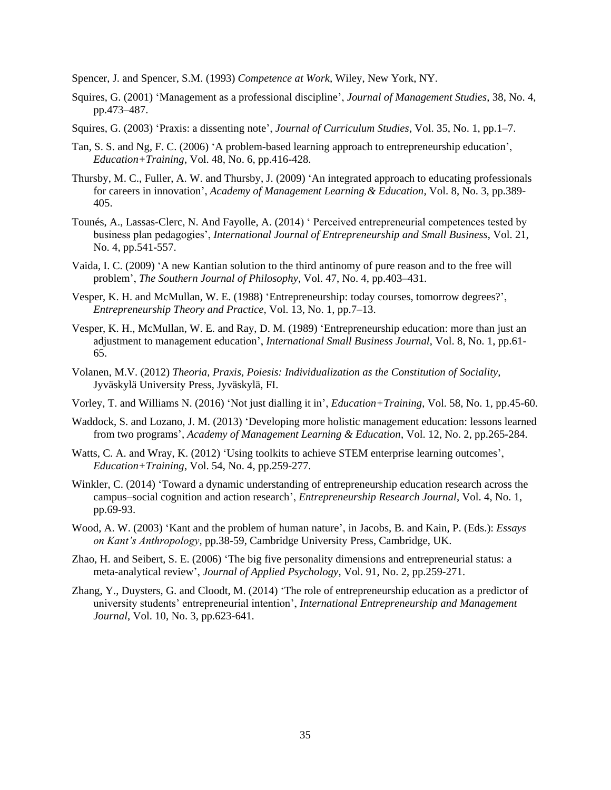Spencer, J. and Spencer, S.M. (1993) *Competence at Work,* Wiley, New York, NY.

- Squires, G. (2001) 'Management as a professional discipline', *Journal of Management Studies*, 38, No. 4, pp.473–487.
- Squires, G. (2003) 'Praxis: a dissenting note', *Journal of Curriculum Studies*, Vol. 35, No. 1, pp.1–7.
- Tan, S. S. and Ng, F. C. (2006) 'A problem-based learning approach to entrepreneurship education', *Education+Training*, Vol. 48, No. 6, pp.416-428.
- Thursby, M. C., Fuller, A. W. and Thursby, J. (2009) 'An integrated approach to educating professionals for careers in innovation', *Academy of Management Learning & Education,* Vol. 8, No. 3, pp.389- 405.
- Tounés, A., Lassas-Clerc, N. And Fayolle, A. (2014) ' Perceived entrepreneurial competences tested by business plan pedagogies', *International Journal of Entrepreneurship and Small Business*, Vol. 21, No. 4, pp.541-557.
- Vaida, I. C. (2009) 'A new Kantian solution to the third antinomy of pure reason and to the free will problem', *The Southern Journal of Philosophy*, Vol. 47, No. 4, pp.403–431.
- Vesper, K. H. and McMullan, W. E. (1988) 'Entrepreneurship: today courses, tomorrow degrees?', *Entrepreneurship Theory and Practice*, Vol. 13, No. 1, pp.7–13.
- Vesper, K. H., McMullan, W. E. and Ray, D. M. (1989) 'Entrepreneurship education: more than just an adjustment to management education', *International Small Business Journal*, Vol. 8, No. 1, pp.61- 65.
- Volanen, M.V. (2012) *Theoria, Praxis, Poiesis: Individualization as the Constitution of Sociality,* Jyväskylä University Press, Jyväskylä, FI.
- Vorley, T. and Williams N. (2016) 'Not just dialling it in', *Education+Training*, Vol. 58, No. 1, pp.45-60.
- Waddock, S. and Lozano, J. M. (2013) 'Developing more holistic management education: lessons learned from two programs', *Academy of Management Learning & Education*, Vol. 12, No. 2, pp.265-284.
- Watts, C. A. and Wray, K. (2012) 'Using toolkits to achieve STEM enterprise learning outcomes', *Education+Training*, Vol. 54, No. 4, pp.259-277.
- Winkler, C. (2014) 'Toward a dynamic understanding of entrepreneurship education research across the campus–social cognition and action research', *Entrepreneurship Research Journal*, Vol. 4, No. 1, pp.69-93.
- Wood, A. W. (2003) 'Kant and the problem of human nature', in Jacobs, B. and Kain, P. (Eds.): *Essays on Kant's Anthropology,* pp.38-59, Cambridge University Press, Cambridge, UK.
- Zhao, H. and Seibert, S. E. (2006) 'The big five personality dimensions and entrepreneurial status: a meta-analytical review', *Journal of Applied Psychology*, Vol. 91, No. 2, pp.259-271.
- Zhang, Y., Duysters, G. and Cloodt, M. (2014) 'The role of entrepreneurship education as a predictor of university students' entrepreneurial intention', *International Entrepreneurship and Management Journal*, Vol. 10, No. 3, pp.623-641.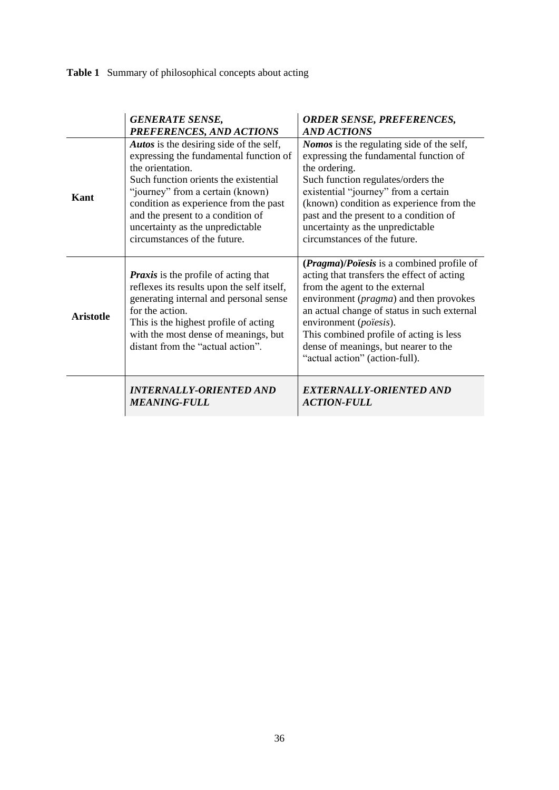**Table 1** Summary of philosophical concepts about acting

|                  | <b>GENERATE SENSE,</b><br>PREFERENCES, AND ACTIONS                                                                                                                                                                                                                                                                                          | <b>ORDER SENSE, PREFERENCES,</b><br><b>AND ACTIONS</b>                                                                                                                                                                                                                                                                                                                     |
|------------------|---------------------------------------------------------------------------------------------------------------------------------------------------------------------------------------------------------------------------------------------------------------------------------------------------------------------------------------------|----------------------------------------------------------------------------------------------------------------------------------------------------------------------------------------------------------------------------------------------------------------------------------------------------------------------------------------------------------------------------|
| Kant             | <b>Autos</b> is the desiring side of the self,<br>expressing the fundamental function of<br>the orientation.<br>Such function orients the existential<br>"journey" from a certain (known)<br>condition as experience from the past<br>and the present to a condition of<br>uncertainty as the unpredictable<br>circumstances of the future. | <i>Nomos</i> is the regulating side of the self,<br>expressing the fundamental function of<br>the ordering.<br>Such function regulates/orders the<br>existential "journey" from a certain<br>(known) condition as experience from the<br>past and the present to a condition of<br>uncertainty as the unpredictable<br>circumstances of the future.                        |
| <b>Aristotle</b> | <b>Praxis</b> is the profile of acting that<br>reflexes its results upon the self itself,<br>generating internal and personal sense<br>for the action.<br>This is the highest profile of acting<br>with the most dense of meanings, but<br>distant from the "actual action".                                                                | (Pragma)/Poïesis is a combined profile of<br>acting that transfers the effect of acting<br>from the agent to the external<br>environment ( <i>pragma</i> ) and then provokes<br>an actual change of status in such external<br>environment (poïesis).<br>This combined profile of acting is less<br>dense of meanings, but nearer to the<br>"actual action" (action-full). |
|                  | <i><b>INTERNALLY-ORIENTED AND</b></i><br><b>MEANING-FULL</b>                                                                                                                                                                                                                                                                                | EXTERNALLY-ORIENTED AND<br><b>ACTION-FULL</b>                                                                                                                                                                                                                                                                                                                              |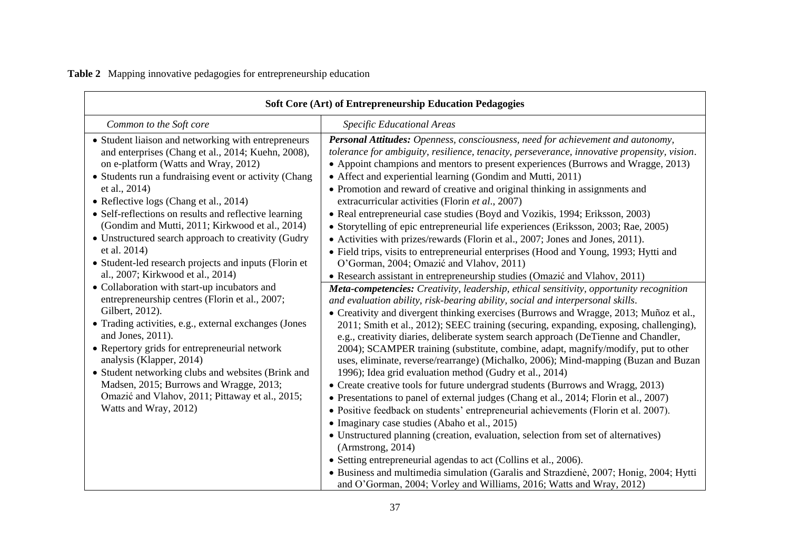# **Table 2** Mapping innovative pedagogies for entrepreneurship education

| Soft Core (Art) of Entrepreneurship Education Pedagogies                                                                                                                                                                                                                                                                                                                                                                                                                                                                                                                                                                                                                                                                                                                                                                                                                                                                                                                                                            |                                                                                                                                                                                                                                                                                                                                                                                                                                                                                                                                                                                                                                                                                                                                                                                                                                                                                                                                                                                                                                                                                                                                                                                                                                                                                                                                                                                                                                                                                                                                                                                                                                                                                                                                                                                                                                                                                                                                                                                                                                                                                                                                                                                                                                                                                                                       |  |
|---------------------------------------------------------------------------------------------------------------------------------------------------------------------------------------------------------------------------------------------------------------------------------------------------------------------------------------------------------------------------------------------------------------------------------------------------------------------------------------------------------------------------------------------------------------------------------------------------------------------------------------------------------------------------------------------------------------------------------------------------------------------------------------------------------------------------------------------------------------------------------------------------------------------------------------------------------------------------------------------------------------------|-----------------------------------------------------------------------------------------------------------------------------------------------------------------------------------------------------------------------------------------------------------------------------------------------------------------------------------------------------------------------------------------------------------------------------------------------------------------------------------------------------------------------------------------------------------------------------------------------------------------------------------------------------------------------------------------------------------------------------------------------------------------------------------------------------------------------------------------------------------------------------------------------------------------------------------------------------------------------------------------------------------------------------------------------------------------------------------------------------------------------------------------------------------------------------------------------------------------------------------------------------------------------------------------------------------------------------------------------------------------------------------------------------------------------------------------------------------------------------------------------------------------------------------------------------------------------------------------------------------------------------------------------------------------------------------------------------------------------------------------------------------------------------------------------------------------------------------------------------------------------------------------------------------------------------------------------------------------------------------------------------------------------------------------------------------------------------------------------------------------------------------------------------------------------------------------------------------------------------------------------------------------------------------------------------------------------|--|
| Common to the Soft core                                                                                                                                                                                                                                                                                                                                                                                                                                                                                                                                                                                                                                                                                                                                                                                                                                                                                                                                                                                             | Specific Educational Areas                                                                                                                                                                                                                                                                                                                                                                                                                                                                                                                                                                                                                                                                                                                                                                                                                                                                                                                                                                                                                                                                                                                                                                                                                                                                                                                                                                                                                                                                                                                                                                                                                                                                                                                                                                                                                                                                                                                                                                                                                                                                                                                                                                                                                                                                                            |  |
| • Student liaison and networking with entrepreneurs<br>and enterprises (Chang et al., 2014; Kuehn, 2008),<br>on e-platform (Watts and Wray, 2012)<br>• Students run a fundraising event or activity (Chang<br>et al., 2014)<br>• Reflective logs (Chang et al., 2014)<br>• Self-reflections on results and reflective learning<br>(Gondim and Mutti, 2011; Kirkwood et al., 2014)<br>• Unstructured search approach to creativity (Gudry<br>et al. 2014)<br>• Student-led research projects and inputs (Florin et<br>al., 2007; Kirkwood et al., 2014)<br>• Collaboration with start-up incubators and<br>entrepreneurship centres (Florin et al., 2007;<br>Gilbert, 2012).<br>• Trading activities, e.g., external exchanges (Jones<br>and Jones, 2011).<br>• Repertory grids for entrepreneurial network<br>analysis (Klapper, 2014)<br>• Student networking clubs and websites (Brink and<br>Madsen, 2015; Burrows and Wragge, 2013;<br>Omazić and Vlahov, 2011; Pittaway et al., 2015;<br>Watts and Wray, 2012) | Personal Attitudes: Openness, consciousness, need for achievement and autonomy,<br>tolerance for ambiguity, resilience, tenacity, perseverance, innovative propensity, vision.<br>• Appoint champions and mentors to present experiences (Burrows and Wragge, 2013)<br>• Affect and experiential learning (Gondim and Mutti, 2011)<br>• Promotion and reward of creative and original thinking in assignments and<br>extracurricular activities (Florin et al., 2007)<br>• Real entrepreneurial case studies (Boyd and Vozikis, 1994; Eriksson, 2003)<br>• Storytelling of epic entrepreneurial life experiences (Eriksson, 2003; Rae, 2005)<br>• Activities with prizes/rewards (Florin et al., 2007; Jones and Jones, 2011).<br>• Field trips, visits to entrepreneurial enterprises (Hood and Young, 1993; Hytti and<br>O'Gorman, 2004; Omazić and Vlahov, 2011)<br>• Research assistant in entrepreneurship studies (Omazić and Vlahov, 2011)<br>Meta-competencies: Creativity, leadership, ethical sensitivity, opportunity recognition<br>and evaluation ability, risk-bearing ability, social and interpersonal skills.<br>• Creativity and divergent thinking exercises (Burrows and Wragge, 2013; Muñoz et al.,<br>2011; Smith et al., 2012); SEEC training (securing, expanding, exposing, challenging),<br>e.g., creativity diaries, deliberate system search approach (DeTienne and Chandler,<br>2004); SCAMPER training (substitute, combine, adapt, magnify/modify, put to other<br>uses, eliminate, reverse/rearrange) (Michalko, 2006); Mind-mapping (Buzan and Buzan<br>1996); Idea grid evaluation method (Gudry et al., 2014)<br>• Create creative tools for future undergrad students (Burrows and Wragg, 2013)<br>• Presentations to panel of external judges (Chang et al., 2014; Florin et al., 2007)<br>• Positive feedback on students' entrepreneurial achievements (Florin et al. 2007).<br>• Imaginary case studies (Abaho et al., 2015)<br>• Unstructured planning (creation, evaluation, selection from set of alternatives)<br>(Armstrong, 2014)<br>• Setting entrepreneurial agendas to act (Collins et al., 2006).<br>• Business and multimedia simulation (Garalis and Strazdiene, 2007; Honig, 2004; Hytti<br>and O'Gorman, 2004; Vorley and Williams, 2016; Watts and Wray, 2012) |  |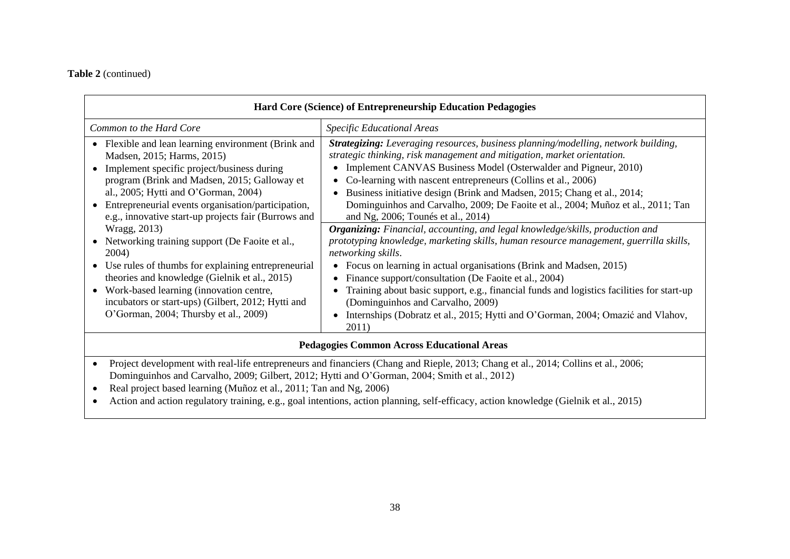# **Table 2** (continued)

| Hard Core (Science) of Entrepreneurship Education Pedagogies                                                                                                                                                                                                                                                                                                                                                                                                                                                                                                                                                                                                                                   |                                                                                                                                                                                                                                                                                                                                                                                                                                                                                                                                                                                                                                                                                                                                                                                                                                                                                                                                                                                                                                                                                     |  |
|------------------------------------------------------------------------------------------------------------------------------------------------------------------------------------------------------------------------------------------------------------------------------------------------------------------------------------------------------------------------------------------------------------------------------------------------------------------------------------------------------------------------------------------------------------------------------------------------------------------------------------------------------------------------------------------------|-------------------------------------------------------------------------------------------------------------------------------------------------------------------------------------------------------------------------------------------------------------------------------------------------------------------------------------------------------------------------------------------------------------------------------------------------------------------------------------------------------------------------------------------------------------------------------------------------------------------------------------------------------------------------------------------------------------------------------------------------------------------------------------------------------------------------------------------------------------------------------------------------------------------------------------------------------------------------------------------------------------------------------------------------------------------------------------|--|
| Common to the Hard Core                                                                                                                                                                                                                                                                                                                                                                                                                                                                                                                                                                                                                                                                        | Specific Educational Areas                                                                                                                                                                                                                                                                                                                                                                                                                                                                                                                                                                                                                                                                                                                                                                                                                                                                                                                                                                                                                                                          |  |
| Flexible and lean learning environment (Brink and<br>٠<br>Madsen, 2015; Harms, 2015)<br>Implement specific project/business during<br>program (Brink and Madsen, 2015; Galloway et<br>al., 2005; Hytti and O'Gorman, 2004)<br>Entrepreneurial events organisation/participation,<br>e.g., innovative start-up projects fair (Burrows and<br>Wragg, 2013)<br>Networking training support (De Faoite et al.,<br>2004)<br>Use rules of thumbs for explaining entrepreneurial<br>$\bullet$<br>theories and knowledge (Gielnik et al., 2015)<br>Work-based learning (innovation centre,<br>$\bullet$<br>incubators or start-ups) (Gilbert, 2012; Hytti and<br>O'Gorman, 2004; Thursby et al., 2009) | <b>Strategizing:</b> Leveraging resources, business planning/modelling, network building,<br>strategic thinking, risk management and mitigation, market orientation.<br>Implement CANVAS Business Model (Osterwalder and Pigneur, 2010)<br>• Co-learning with nascent entrepreneurs (Collins et al., 2006)<br>Business initiative design (Brink and Madsen, 2015; Chang et al., 2014;<br>Dominguinhos and Carvalho, 2009; De Faoite et al., 2004; Muñoz et al., 2011; Tan<br>and Ng, 2006; Tounés et al., 2014)<br><b>Organizing:</b> Financial, accounting, and legal knowledge/skills, production and<br>prototyping knowledge, marketing skills, human resource management, guerrilla skills,<br>networking skills.<br>Focus on learning in actual organisations (Brink and Madsen, 2015)<br>Finance support/consultation (De Faoite et al., 2004)<br>Training about basic support, e.g., financial funds and logistics facilities for start-up<br>(Dominguinhos and Carvalho, 2009)<br>Internships (Dobratz et al., 2015; Hytti and O'Gorman, 2004; Omazić and Vlahov,<br>2011) |  |
| <b>Pedagogies Common Across Educational Areas</b><br>$\rightarrow$ $\rightarrow$<br>$\mathbf{1}$ $\mathbf{0}$ $\mathbf{1}$ $\mathbf{0}$ $\mathbf{0}$ $\mathbf{0}$ $\mathbf{0}$ $\mathbf{0}$ $\mathbf{0}$ $\mathbf{0}$ $\mathbf{0}$ $\mathbf{0}$ $\mathbf{0}$ $\mathbf{0}$ $\mathbf{0}$ $\mathbf{0}$ $\mathbf{0}$ $\mathbf{0}$ $\mathbf{0}$ $\mathbf{0}$ $\mathbf{0}$ $\mathbf{0}$ $\mathbf{0}$ $\mathbf{0}$ $\mathbf{$<br>$\sim$ $\sim$ $\sim$                                                                                                                                                                                                                                                 |                                                                                                                                                                                                                                                                                                                                                                                                                                                                                                                                                                                                                                                                                                                                                                                                                                                                                                                                                                                                                                                                                     |  |

- Project development with real-life entrepreneurs and financiers (Chang and Rieple, 2013; Chang et al., 2014; Collins et al., 2006; Dominguinhos and Carvalho, 2009; Gilbert, 2012; Hytti and O'Gorman, 2004; Smith et al., 2012)
- Real project based learning (Muñoz et al., 2011; Tan and Ng, 2006)
- Action and action regulatory training, e.g., goal intentions, action planning, self-efficacy, action knowledge (Gielnik et al., 2015)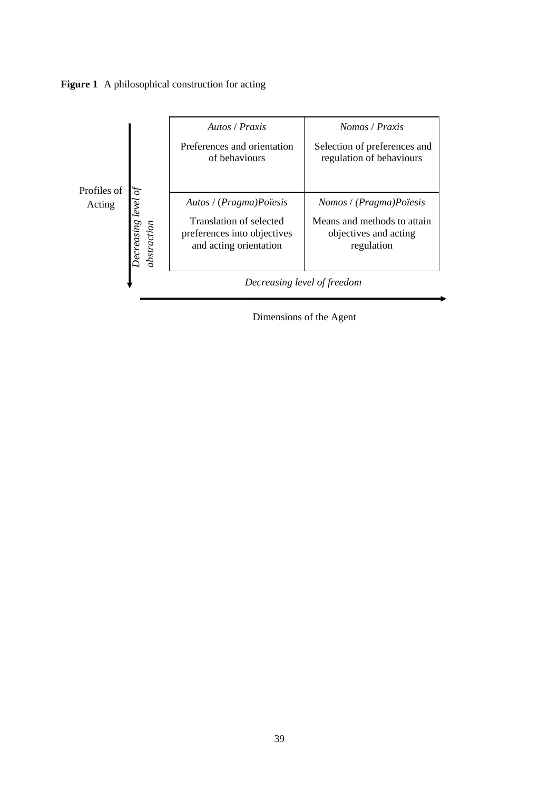



Dimensions of the Agent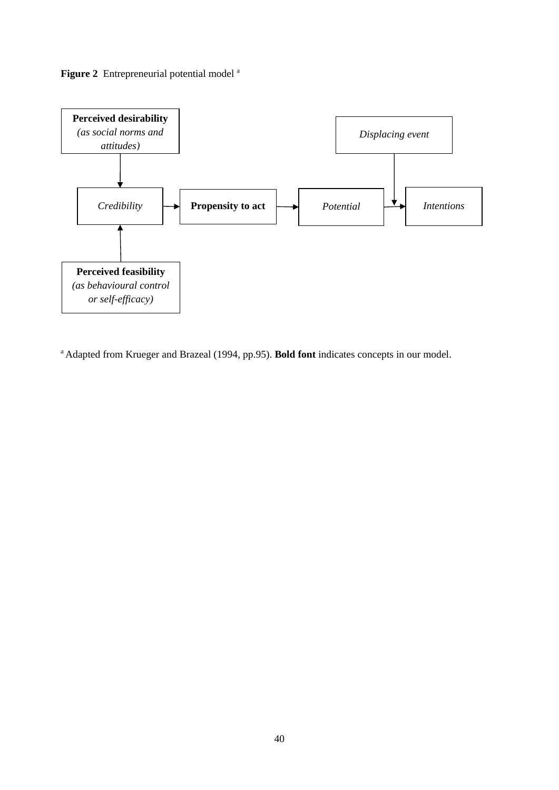**Figure 2** Entrepreneurial potential model <sup>a</sup>



<sup>a</sup> Adapted from Krueger and Brazeal (1994, pp.95). **Bold font** indicates concepts in our model.